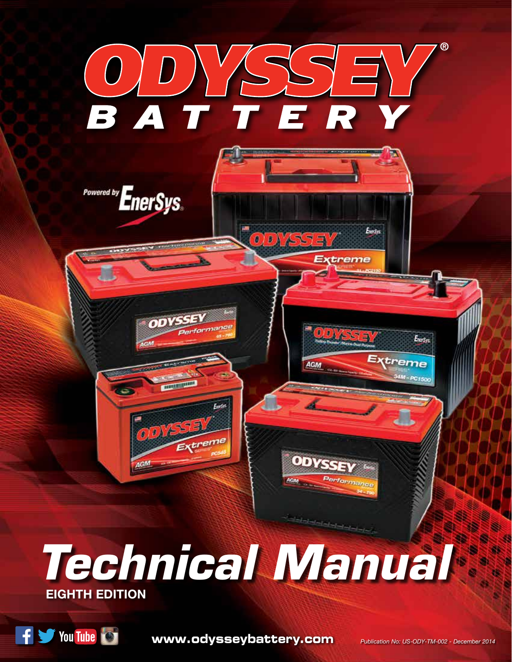

F Sy You Tube

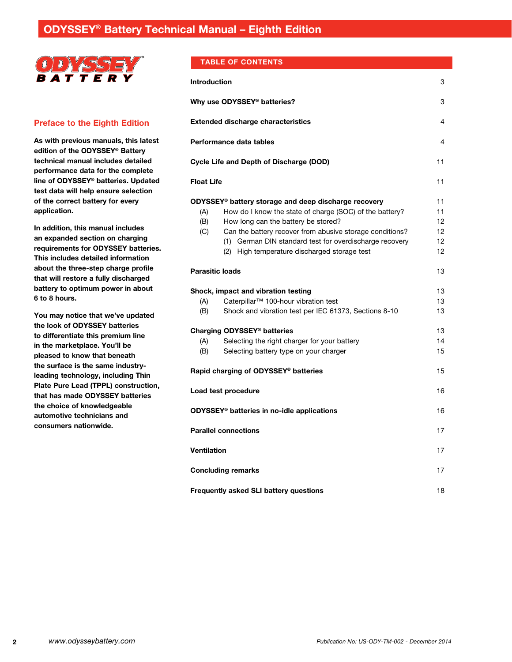

# **Preface to the Eighth Edition**

**As with previous manuals, this latest edition of the ODYSSEY® Battery technical manual includes detailed performance data for the complete line of ODYSSEY® batteries. Updated test data will help ensure selection of the correct battery for every application.**

**In addition, this manual includes an expanded section on charging requirements for ODYSSEY batteries. This includes detailed information about the three-step charge profile that will restore a fully discharged battery to optimum power in about 6 to 8 hours.** 

**You may notice that we've updated the look of ODYSSEY batteries to differentiate this premium line in the marketplace. You'll be pleased to know that beneath the surface is the same industryleading technology, including Thin Plate Pure Lead (TPPL) construction, that has made ODYSSEY batteries the choice of knowledgeable automotive technicians and consumers nationwide.**

## **Table of Contents**

| <b>Introduction</b> |                                                                                                                                                                                                                                                                                                                                           | 3                                |
|---------------------|-------------------------------------------------------------------------------------------------------------------------------------------------------------------------------------------------------------------------------------------------------------------------------------------------------------------------------------------|----------------------------------|
|                     | Why use ODYSSEY <sup>®</sup> batteries?                                                                                                                                                                                                                                                                                                   | 3                                |
|                     | <b>Extended discharge characteristics</b>                                                                                                                                                                                                                                                                                                 | 4                                |
|                     | Performance data tables                                                                                                                                                                                                                                                                                                                   | 4                                |
|                     | Cycle Life and Depth of Discharge (DOD)                                                                                                                                                                                                                                                                                                   | 11                               |
| <b>Float Life</b>   |                                                                                                                                                                                                                                                                                                                                           | 11                               |
| (A)<br>(B)<br>(C)   | ODYSSEY <sup>®</sup> battery storage and deep discharge recovery<br>How do I know the state of charge (SOC) of the battery?<br>How long can the battery be stored?<br>Can the battery recover from abusive storage conditions?<br>(1) German DIN standard test for overdischarge recovery<br>(2) High temperature discharged storage test | 11<br>11<br>12<br>12<br>12<br>12 |
|                     | <b>Parasitic loads</b>                                                                                                                                                                                                                                                                                                                    | 13                               |
| (A)<br>(B)          | Shock, impact and vibration testing<br>Caterpillar <sup>™</sup> 100-hour vibration test<br>Shock and vibration test per IEC 61373, Sections 8-10                                                                                                                                                                                          | 13<br>13<br>13                   |
| (A)                 | Charging ODYSSEY <sup>®</sup> batteries<br>Selecting the right charger for your battery                                                                                                                                                                                                                                                   | 13.<br>14                        |
| (B)                 | Selecting battery type on your charger                                                                                                                                                                                                                                                                                                    | 15                               |
|                     | Rapid charging of ODYSSEY <sup>®</sup> batteries                                                                                                                                                                                                                                                                                          | 15                               |
|                     | Load test procedure                                                                                                                                                                                                                                                                                                                       | 16                               |
|                     | <b>ODYSSEY<sup>®</sup></b> batteries in no-idle applications                                                                                                                                                                                                                                                                              | 16                               |
|                     | <b>Parallel connections</b>                                                                                                                                                                                                                                                                                                               | 17                               |
| <b>Ventilation</b>  |                                                                                                                                                                                                                                                                                                                                           | 17                               |
|                     | <b>Concluding remarks</b>                                                                                                                                                                                                                                                                                                                 | 17                               |
|                     | <b>Frequently asked SLI battery questions</b>                                                                                                                                                                                                                                                                                             | 18                               |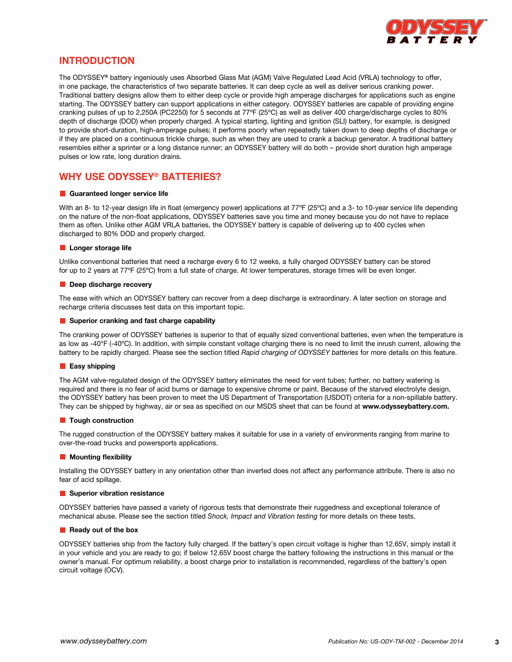

# **Introduction**

The ODYSSEY**®** battery ingeniously uses Absorbed Glass Mat (AGM) Valve Regulated Lead Acid (VRLA) technology to offer, in one package, the characteristics of two separate batteries. It can deep cycle as well as deliver serious cranking power. Traditional battery designs allow them to either deep cycle or provide high amperage discharges for applications such as engine starting. The ODYSSEY battery can support applications in either category. ODYSSEY batteries are capable of providing engine cranking pulses of up to 2,250A (PC2250) for 5 seconds at 77ºF (25ºC) as well as deliver 400 charge/discharge cycles to 80% depth of discharge (DOD) when properly charged. A typical starting, lighting and ignition (SLI) battery, for example, is designed to provide short-duration, high-amperage pulses; it performs poorly when repeatedly taken down to deep depths of discharge or if they are placed on a continuous trickle charge, such as when they are used to crank a backup generator. A traditional battery resembles either a sprinter or a long distance runner; an ODYSSEY battery will do both – provide short duration high amperage pulses or low rate, long duration drains.

# **Why use ODYSSEY® Batteries?**

## **Guaranteed longer service life**

With an 8- to 12-year design life in float (emergency power) applications at 77°F (25°C) and a 3- to 10-year service life depending on the nature of the non-float applications, ODYSSEY batteries save you time and money because you do not have to replace them as often. Unlike other AGM VRLA batteries, the ODYSSEY battery is capable of delivering up to 400 cycles when discharged to 80% DOD and properly charged.

## **Longer storage life**

Unlike conventional batteries that need a recharge every 6 to 12 weeks, a fully charged ODYSSEY battery can be stored for up to 2 years at 77ºF (25ºC) from a full state of charge. At lower temperatures, storage times will be even longer.

## **Deep discharge recovery**

The ease with which an ODYSSEY battery can recover from a deep discharge is extraordinary. A later section on storage and recharge criteria discusses test data on this important topic.

### **E** Superior cranking and fast charge capability

The cranking power of ODYSSEY batteries is superior to that of equally sized conventional batteries, even when the temperature is as low as -40°F (-40ºC). In addition, with simple constant voltage charging there is no need to limit the inrush current, allowing the battery to be rapidly charged. Please see the section titled *Rapid charging of ODYSSEY batteries* for more details on this feature.

### **Easy shipping**

The AGM valve-regulated design of the ODYSSEY battery eliminates the need for vent tubes; further, no battery watering is required and there is no fear of acid burns or damage to expensive chrome or paint. Because of the starved electrolyte design, the ODYSSEY battery has been proven to meet the US Department of Transportation (USDOT) criteria for a non-spillable battery. They can be shipped by highway, air or sea as specified on our MSDS sheet that can be found at **www.odysseybattery.com.**

### **Tough construction**

The rugged construction of the ODYSSEY battery makes it suitable for use in a variety of environments ranging from marine to over-the-road trucks and powersports applications.

### **Mounting flexibility**

Installing the ODYSSEY battery in any orientation other than inverted does not affect any performance attribute. There is also no fear of acid spillage.

### $\blacksquare$  Superior vibration resistance

ODYSSEY batteries have passed a variety of rigorous tests that demonstrate their ruggedness and exceptional tolerance of mechanical abuse. Please see the section titled *Shock, Impact and Vibration testing* for more details on these tests.

### **Ready out of the box**

ODYSSEY batteries ship from the factory fully charged. If the battery's open circuit voltage is higher than 12.65V, simply install it in your vehicle and you are ready to go; if below 12.65V boost charge the battery following the instructions in this manual or the owner's manual. For optimum reliability, a boost charge prior to installation is recommended, regardless of the battery's open circuit voltage (OCV).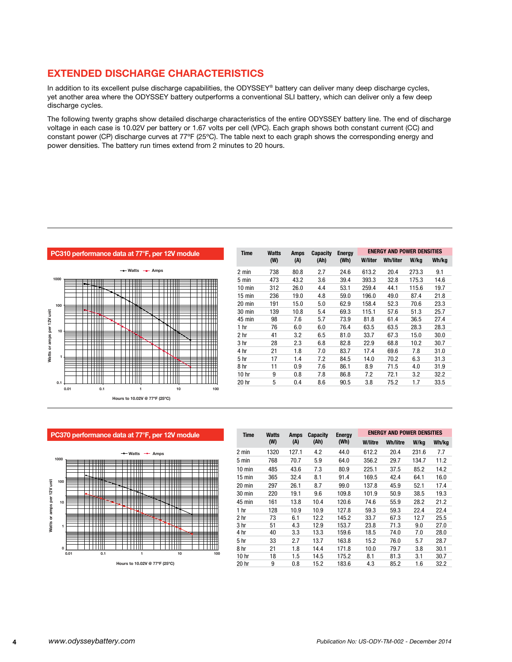# **Extended discharge characteristics**

In addition to its excellent pulse discharge capabilities, the ODYSSEY® battery can deliver many deep discharge cycles, yet another area where the ODYSSEY battery outperforms a conventional SLI battery, which can deliver only a few deep discharge cycles.

The following twenty graphs show detailed discharge characteristics of the entire ODYSSEY battery line. The end of discharge voltage in each case is 10.02V per battery or 1.67 volts per cell (VPC). Each graph shows both constant current (CC) and constant power (CP) discharge curves at 77ºF (25ºC). The table next to each graph shows the corresponding energy and power densities. The battery run times extend from 2 minutes to 20 hours.



| per 12V module | <b>Time</b>      | Watts | Amps | Capacity | <b>Energy</b> | <b>ENERGY AND POWER DENSITIES</b> |          |       |       |
|----------------|------------------|-------|------|----------|---------------|-----------------------------------|----------|-------|-------|
|                |                  | (W)   | (A)  | (Ah)     | (Wh)          | W/liter                           | Wh/liter | W/kg  | Wh/kg |
| Amps           | 2 min            | 738   | 80.8 | 2.7      | 24.6          | 613.2                             | 20.4     | 273.3 | 9.1   |
| ┉              | 5 min            | 473   | 43.2 | 3.6      | 39.4          | 393.3                             | 32.8     | 175.3 | 14.6  |
| m<br>┯         | $10 \text{ min}$ | 312   | 26.0 | 4.4      | 53.1          | 259.4                             | 44.1     | 115.6 | 19.7  |
|                | 15 min           | 236   | 19.0 | 4.8      | 59.0          | 196.0                             | 49.0     | 87.4  | 21.8  |
|                | 20 min           | 191   | 15.0 | 5.0      | 62.9          | 158.4                             | 52.3     | 70.6  | 23.3  |
| ▓<br>┯         | 30 min           | 139   | 10.8 | 5.4      | 69.3          | 115.1                             | 57.6     | 51.3  | 25.7  |
|                | 45 min           | 98    | 7.6  | 5.7      | 73.9          | 81.8                              | 61.4     | 36.5  | 27.4  |
|                | 1 <sub>hr</sub>  | 76    | 6.0  | 6.0      | 76.4          | 63.5                              | 63.5     | 28.3  | 28.3  |
|                | 2 hr             | 41    | 3.2  | 6.5      | 81.0          | 33.7                              | 67.3     | 15.0  | 30.0  |
| ш              | 3 hr             | 28    | 2.3  | 6.8      | 82.8          | 22.9                              | 68.8     | 10.2  | 30.7  |
|                | 4 hr             | 21    | 1.8  | 7.0      | 83.7          | 17.4                              | 69.6     | 7.8   | 31.0  |
| Ħ.             | 5 <sub>hr</sub>  | 17    | 1.4  | 7.2      | 84.5          | 14.0                              | 70.2     | 6.3   | 31.3  |
|                | 8 hr             | 11    | 0.9  | 7.6      | 86.1          | 8.9                               | 71.5     | 4.0   | 31.9  |
|                | 10 <sub>hr</sub> | 9     | 0.8  | 7.8      | 86.8          | 7.2                               | 72.1     | 3.2   | 32.2  |
|                | 20 hr            | 5     | 0.4  | 8.6      | 90.5          | 3.8                               | 75.2     | 1.7   | 33.5  |
| 10<br>100      |                  |       |      |          |               |                                   |          |       |       |



**Hours to 10.02V @ 77ºF (25ºC)**

| <b>Time</b>      | <b>Watts</b> | Amps  | <b>Capacity</b> | <b>Energy</b> |         | <b>ENERGY AND POWER DENSITIES</b> |       |       |  |  |
|------------------|--------------|-------|-----------------|---------------|---------|-----------------------------------|-------|-------|--|--|
|                  | (W)          | (A)   | (Ah)            | (Wh)          | W/litre | Wh/litre                          | W/kg  | Wh/kg |  |  |
| 2 min            | 1320         | 127.1 | 4.2             | 44.0          | 612.2   | 20.4                              | 231.6 | 7.7   |  |  |
| 5 min            | 768          | 70.7  | 5.9             | 64.0          | 356.2   | 29.7                              | 134.7 | 11.2  |  |  |
| 10 min           | 485          | 43.6  | 7.3             | 80.9          | 225.1   | 37.5                              | 85.2  | 14.2  |  |  |
| $15 \text{ min}$ | 365          | 32.4  | 8.1             | 91.4          | 169.5   | 42.4                              | 64.1  | 16.0  |  |  |
| 20 min           | 297          | 26.1  | 8.7             | 99.0          | 137.8   | 45.9                              | 52.1  | 17.4  |  |  |
| 30 min           | 220          | 19.1  | 9.6             | 109.8         | 101.9   | 50.9                              | 38.5  | 19.3  |  |  |
| 45 min           | 161          | 13.8  | 10.4            | 120.6         | 74.6    | 55.9                              | 28.2  | 21.2  |  |  |
| 1 <sub>hr</sub>  | 128          | 10.9  | 10.9            | 127.8         | 59.3    | 59.3                              | 22.4  | 22.4  |  |  |
| 2 hr             | 73           | 6.1   | 12.2            | 145.2         | 33.7    | 67.3                              | 12.7  | 25.5  |  |  |
| 3 hr             | 51           | 4.3   | 12.9            | 153.7         | 23.8    | 71.3                              | 9.0   | 27.0  |  |  |
| 4 hr             | 40           | 3.3   | 13.3            | 159.6         | 18.5    | 74.0                              | 7.0   | 28.0  |  |  |
| 5 <sub>hr</sub>  | 33           | 2.7   | 13.7            | 163.8         | 15.2    | 76.0                              | 5.7   | 28.7  |  |  |
| 8 hr             | 21           | 1.8   | 14.4            | 171.8         | 10.0    | 79.7                              | 3.8   | 30.1  |  |  |
| 10 <sub>hr</sub> | 18           | 1.5   | 14.5            | 175.2         | 8.1     | 81.3                              | 3.1   | 30.7  |  |  |
| 20 hr            | 9            | 0.8   | 15.2            | 183.6         | 4.3     | 85.2                              | 1.6   | 32.2  |  |  |

# **PC370 performance data at 77°F, per 12V module**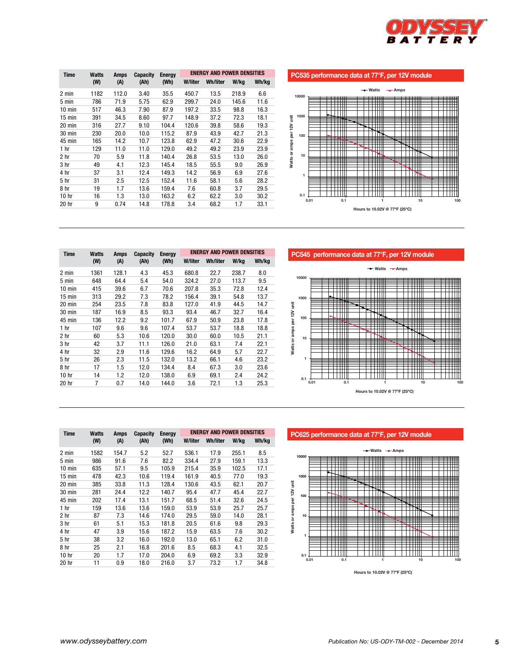

| <b>Time</b>      | <b>Watts</b> | <b>Amps</b> | <b>Capacity</b> | <b>Energy</b><br>(Wh) | <b>ENERGY AND POWER DENSITIES</b> |          |       |       |  |
|------------------|--------------|-------------|-----------------|-----------------------|-----------------------------------|----------|-------|-------|--|
|                  | (W)          | (A)         | (Ah)            |                       | <b>W/liter</b>                    | Wh/liter | W/kg  | Wh/kg |  |
| 2 min            | 1182         | 112.0       | 3.40            | 35.5                  | 450.7                             | 13.5     | 218.9 | 6.6   |  |
| 5 min            | 786          | 71.9        | 5.75            | 62.9                  | 299.7                             | 24.0     | 145.6 | 11.6  |  |
| $10 \text{ min}$ | 517          | 46.3        | 7.90            | 87.9                  | 197.2                             | 33.5     | 98.8  | 16.3  |  |
| 15 min           | 391          | 34.5        | 8.60            | 97.7                  | 148.9                             | 37.2     | 72.3  | 18.1  |  |
| 20 min           | 316          | 27.7        | 9.10            | 104.4                 | 120.6                             | 39.8     | 58.6  | 19.3  |  |
| 30 min           | 230          | 20.0        | 10.0            | 115.2                 | 87.9                              | 43.9     | 42.7  | 21.3  |  |
| 45 min           | 165          | 14.2        | 10.7            | 123.8                 | 62.9                              | 47.2     | 30.6  | 22.9  |  |
| 1 hr             | 129          | 11.0        | 11.0            | 129.0                 | 49.2                              | 49.2     | 23.9  | 23.9  |  |
| 2 hr             | 70           | 5.9         | 11.8            | 140.4                 | 26.8                              | 53.5     | 13.0  | 26.0  |  |
| 3 hr             | 49           | 4.1         | 12.3            | 145.4                 | 18.5                              | 55.5     | 9.0   | 26.9  |  |
| 4 hr             | 37           | 3.1         | 12.4            | 149.3                 | 14.2                              | 56.9     | 6.9   | 27.6  |  |
| 5 hr             | 31           | 2.5         | 12.5            | 152.4                 | 11.6                              | 58.1     | 5.6   | 28.2  |  |
| 8 hr             | 19           | 1.7         | 13.6            | 159.4                 | 7.6                               | 60.8     | 3.7   | 29.5  |  |
| 10 <sub>hr</sub> | 16           | 1.3         | 13.0            | 163.2                 | 6.2                               | 62.2     | 3.0   | 30.2  |  |
| 20 hr            | 9            | 0.74        | 14.8            | 178.8                 | 3.4                               | 68.2     | 1.7   | 33.1  |  |
|                  |              |             |                 |                       |                                   |          |       |       |  |

**PC535 performance data at 77°F, per 12V module**



**PC545 performance data at 77°F, per 12V module**



| <b>Time</b> | <b>Watts</b> | Amps    | Capacity | <b>Energy</b> | <b>ENERGY AND POWER DENSITIES</b> |          |       |       |  |  |
|-------------|--------------|---------|----------|---------------|-----------------------------------|----------|-------|-------|--|--|
|             | (W)          | (A)     | (Ah)     | (Wh)          | <b>W/liter</b>                    | Wh/liter | W/kg  | Wh/kg |  |  |
| 2 min       | 1361         | 128.1   | 4.3      | 45.3          | 680.8                             | 22.7     | 238.7 | 8.0   |  |  |
| 5 min       | 648          | 64.4    | 5.4      | 54.0          | 324.2                             | 27.0     | 113.7 | 9.5   |  |  |
| 10 min      | 415          | 39.6    | 6.7      | 70.6          | 207.8                             | 35.3     | 72.8  | 12.4  |  |  |
| 15 min      | 313          | 29.2    | 7.3      | 78.2          | 156.4                             | 39.1     | 54.8  | 13.7  |  |  |
| 20 min      | 254          | 23.5    | 7.8      | 83.8          | 127.0                             | 41.9     | 44.5  | 14.7  |  |  |
| 30 min      | 187          | 16.9    | 8.5      | 93.3          | 93.4                              | 46.7     | 32.7  | 16.4  |  |  |
| 45 min      | 136          | 12.2    | 9.2      | 101.7         | 67.9                              | 50.9     | 23.8  | 17.8  |  |  |
| 1 hr        | 107          | 9.6     | 9.6      | 107.4         | 53.7                              | 53.7     | 18.8  | 18.8  |  |  |
| 2 hr        | 60           | 5.3     | 10.6     | 120.0         | 30.0                              | 60.0     | 10.5  | 21.1  |  |  |
| 3 hr        | 42           | 3.7     | 11.1     | 126.0         | 21.0                              | 63.1     | 7.4   | 22.1  |  |  |
| 4 hr        | 32           | 2.9     | 11.6     | 129.6         | 16.2                              | 64.9     | 5.7   | 22.7  |  |  |
| 5 hr        | 26           | 2.3     | 11.5     | 132.0         | 13.2                              | 66.1     | 4.6   | 23.2  |  |  |
| 8 hr        | 17           | $1.5\,$ | 12.0     | 134.4         | 8.4                               | 67.3     | 3.0   | 23.6  |  |  |
| 10 hr       | 14           | 1.2     | 12.0     | 138.0         | 6.9                               | 69.1     | 2.4   | 24.2  |  |  |
| 20 hr       | 7            | 0.7     | 14.0     | 144.0         | 3.6                               | 72.1     | 1.3   | 25.3  |  |  |

**PC625 performance data at 77°F, per 12V module**



**Hours to 10.02V @ 77ºF (25ºC)**

| J IIIII          | U+U | U4.4 | ∪.+  | J4.U  | ے.+ےں | 41.U | .    | ວ.ບ  |
|------------------|-----|------|------|-------|-------|------|------|------|
| 10 min           | 415 | 39.6 | 6.7  | 70.6  | 207.8 | 35.3 | 72.8 | 12.4 |
| $15 \text{ min}$ | 313 | 29.2 | 7.3  | 78.2  | 156.4 | 39.1 | 54.8 | 13.7 |
| $20$ min         | 254 | 23.5 | 7.8  | 83.8  | 127.0 | 41.9 | 44.5 | 14.7 |
| 30 min           | 187 | 16.9 | 8.5  | 93.3  | 93.4  | 46.7 | 32.7 | 16.4 |
| 45 min           | 136 | 12.2 | 9.2  | 101.7 | 67.9  | 50.9 | 23.8 | 17.8 |
| 1 hr             | 107 | 9.6  | 9.6  | 107.4 | 53.7  | 53.7 | 18.8 | 18.8 |
| 2 <sub>hr</sub>  | 60  | 5.3  | 10.6 | 120.0 | 30.0  | 60.0 | 10.5 | 21.1 |
| 3 <sub>hr</sub>  | 42  | 3.7  | 11.1 | 126.0 | 21.0  | 63.1 | 7.4  | 22.1 |
| 4 hr             | 32  | 2.9  | 11.6 | 129.6 | 16.2  | 64.9 | 5.7  | 22.7 |
| 5 <sub>hr</sub>  | 26  | 2.3  | 11.5 | 132.0 | 13.2  | 66.1 | 4.6  | 23.2 |
| 8 hr             | 17  | 1.5  | 12.0 | 134.4 | 8.4   | 67.3 | 3.0  | 23.6 |
| 10 <sub>hr</sub> | 14  | 1.2  | 12.0 | 138.0 | 6.9   | 69.1 | 2.4  | 24.2 |
| 20 hr            | 7   | 0.7  | 14.0 | 144.0 | 3.6   | 72.1 | 1.3  | 25.3 |
|                  |     |      |      |       |       |      |      |      |
|                  |     |      |      |       |       |      |      |      |
|                  |     |      |      |       |       |      |      |      |

2 min 1582 154.7 5.2 52.7 536.1 17.9 255.1 8.5 5 min 986 91.6 7.6 82.2 334.4 27.9 159.1 13.3 10 min 635 57.1 9.5 105.9 215.4 35.9 102.5 17.1 15 min 478 42.3 10.6 119.4 161.9 40.5 77.0 19.3 20 min 385 33.8 11.3 128.4 130.6 43.5 62.1 20.7 30 min 281 24.4 12.2 140.7 95.4 47.7 45.4 22.7 45 min 202 17.4 13.1 151.7 68.5 51.4 32.6 24.5 1 hr 159 13.6 13.6 159.0 53.9 53.9 25.7 25.7 2 hr 87 7.3 14.6 174.0 29.5 59.0 14.0 28.1 3 hr 61 5.1 15.3 181.8 20.5 61.6 9.8 29.3 4 hr 47 3.9 15.6 187.2 15.9 63.5 7.6 30.2 5 hr 38 3.2 16.0 192.0 13.0 65.1 6.2 31.0 8 hr 25 2.1 16.8 201.6 8.5 68.3 4.1 32.5 10 hr 20 1.7 17.0 204.0 6.9 69.2 3.3 32.9 20 hr 11 0.9 18.0 216.0 3.7 73.2 1.7 34.8

 **(W) (A) (Ah) (Wh) W/liter Wh/liter W/kg Wh/kg**

**Energy and power densities**

**Time Watts Amps Capacity Energy**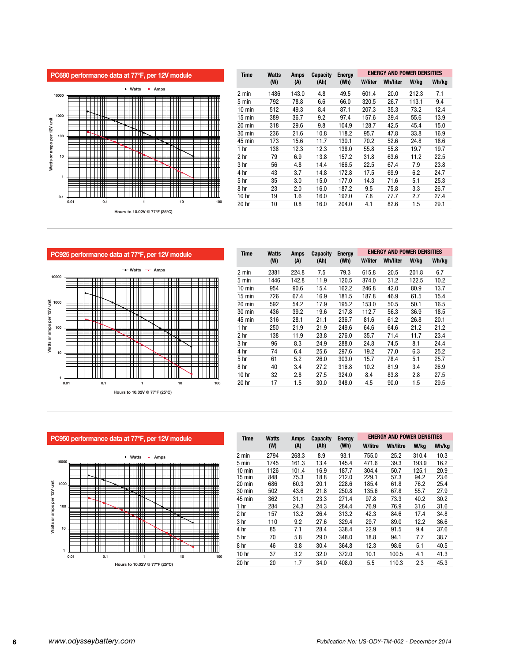



| <b>Time</b>      | <b>Watts</b> | <b>Amps</b> | Capacity | <b>Energy</b> |         | ENERGY AND POWER DENSITIES |       |       |  |  |
|------------------|--------------|-------------|----------|---------------|---------|----------------------------|-------|-------|--|--|
|                  | (W)          | (A)         | (Ah)     | (Wh)          | W/liter | <b>Wh/liter</b>            | W/kg  | Wh/kg |  |  |
| 2 min            | 1486         | 143.0       | 4.8      | 49.5          | 601.4   | 20.0                       | 212.3 | 7.1   |  |  |
| 5 min            | 792          | 78.8        | 6.6      | 66.0          | 320.5   | 26.7                       | 113.1 | 9.4   |  |  |
| $10 \text{ min}$ | 512          | 49.3        | 8.4      | 87.1          | 207.3   | 35.3                       | 73.2  | 12.4  |  |  |
| $15$ min         | 389          | 36.7        | 9.2      | 97.4          | 157.6   | 39.4                       | 55.6  | 13.9  |  |  |
| $20 \text{ min}$ | 318          | 29.6        | 9.8      | 104.9         | 128.7   | 42.5                       | 45.4  | 15.0  |  |  |
| 30 min           | 236          | 21.6        | 10.8     | 118.2         | 95.7    | 47.8                       | 33.8  | 16.9  |  |  |
| 45 min           | 173          | 15.6        | 11.7     | 130.1         | 70.2    | 52.6                       | 24.8  | 18.6  |  |  |
| 1 hr             | 138          | 12.3        | 12.3     | 138.0         | 55.8    | 55.8                       | 19.7  | 19.7  |  |  |
| 2 hr             | 79           | 6.9         | 13.8     | 157.2         | 31.8    | 63.6                       | 11.2  | 22.5  |  |  |
| 3 <sub>hr</sub>  | 56           | 4.8         | 14.4     | 166.5         | 22.5    | 67.4                       | 7.9   | 23.8  |  |  |
| 4 hr             | 43           | 3.7         | 14.8     | 172.8         | 17.5    | 69.9                       | 6.2   | 24.7  |  |  |
| 5 <sub>hr</sub>  | 35           | 3.0         | 15.0     | 177.0         | 14.3    | 71.6                       | 5.1   | 25.3  |  |  |
| 8 hr             | 23           | 2.0         | 16.0     | 187.2         | 9.5     | 75.8                       | 3.3   | 26.7  |  |  |
| 10 hr            | 19           | 1.6         | 16.0     | 192.0         | 7.8     | 77.7                       | 2.7   | 27.4  |  |  |
| 20 hr            | 10           | 0.8         | 16.0     | 204.0         | 4.1     | 82.6                       | 1.5   | 29.1  |  |  |

**PC925 performance data at 77°F, per 12V module Watts -** Amps



| <b>Time</b>      | <b>Watts</b> | Amps    | Capacity | <b>Energy</b> | <b>ENERGY AND POWER DENSITIES</b> |                 |       |       |  |
|------------------|--------------|---------|----------|---------------|-----------------------------------|-----------------|-------|-------|--|
|                  | (W)          | (A)     | (Ah)     | (Wh)          | <b>W/liter</b>                    | <b>Wh/liter</b> | W/kg  | Wh/kg |  |
| 2 min            | 2381         | 224.8   | 7.5      | 79.3          | 615.8                             | 20.5            | 201.8 | 6.7   |  |
| 5 min            | 1446         | 142.8   | 11.9     | 120.5         | 374.0                             | 31.2            | 122.5 | 10.2  |  |
| $10 \text{ min}$ | 954          | 90.6    | 15.4     | 162.2         | 246.8                             | 42.0            | 80.9  | 13.7  |  |
| $15 \text{ min}$ | 726          | 67.4    | 16.9     | 181.5         | 187.8                             | 46.9            | 61.5  | 15.4  |  |
| 20 min           | 592          | 54.2    | 17.9     | 195.2         | 153.0                             | 50.5            | 50.1  | 16.5  |  |
| 30 min           | 436          | 39.2    | 19.6     | 217.8         | 112.7                             | 56.3            | 36.9  | 18.5  |  |
| 45 min           | 316          | 28.1    | 21.1     | 236.7         | 81.6                              | 61.2            | 26.8  | 20.1  |  |
| 1 <sub>hr</sub>  | 250          | 21.9    | 21.9     | 249.6         | 64.6                              | 64.6            | 21.2  | 21.2  |  |
| 2 hr             | 138          | 11.9    | 23.8     | 276.0         | 35.7                              | 71.4            | 11.7  | 23.4  |  |
| 3 hr             | 96           | 8.3     | 24.9     | 288.0         | 24.8                              | 74.5            | 8.1   | 24.4  |  |
| 4 hr             | 74           | 6.4     | 25.6     | 297.6         | 19.2                              | 77.0            | 6.3   | 25.2  |  |
| 5 <sub>hr</sub>  | 61           | 5.2     | 26.0     | 303.0         | 15.7                              | 78.4            | 5.1   | 25.7  |  |
| 8 hr             | 40           | 3.4     | 27.2     | 316.8         | 10.2                              | 81.9            | 3.4   | 26.9  |  |
| 10 <sub>hr</sub> | 32           | 2.8     | 27.5     | 324.0         | 8.4                               | 83.8            | 2.8   | 27.5  |  |
| 20 hr            | 17           | $1.5\,$ | 30.0     | 348.0         | 4.5                               | 90.0            | 1.5   | 29.5  |  |

**Watts -** Amps **10000**   $\overline{\phantom{a}}$  $\overline{a}$ **x**  $\overline{\phantom{0}}$ ĦĦ ──────────────  $\top$   $\top$   $\top$ amps per 12V unit **Watts or amps per 12V unit 1000**   $\overline{\phantom{0}}$  $\frac{1}{\sqrt{2}}$ ▦ TTTTT **100**  M Watts or a t i Hill ttiili  $\overline{1}$ **10**  ▓ ₩ m **SHIH** ╫╫ **THE 1 0.01 0.1 1 10 100 Hours to 10.02V @ 77ºF (25ºC)**

| <b>Time</b>      | <b>Watts</b> | <b>Amps</b> | <b>Capacity</b><br>(Ah) | <b>Energy</b><br>(Wh) |         | <b>ENERGY AND POWER DENSITIES</b> |       |       |
|------------------|--------------|-------------|-------------------------|-----------------------|---------|-----------------------------------|-------|-------|
|                  | (W)          | (A)         |                         |                       | W/litre | <b>Wh/litre</b>                   | W/kg  | Wh/kg |
| 2 min            | 2794         | 268.3       | 8.9                     | 93.1                  | 755.0   | 25.2                              | 310.4 | 10.3  |
| 5 min            | 1745         | 161.3       | 13.4                    | 145.4                 | 471.6   | 39.3                              | 193.9 | 16.2  |
| 10 min           | 1126         | 101.4       | 16.9                    | 187.7                 | 304.4   | 50.7                              | 125.1 | 20.9  |
| $15 \text{ min}$ | 848          | 75.3        | 18.8                    | 212.0                 | 229.1   | 57.3                              | 94.2  | 23.6  |
| 20 min           | 686          | 60.3        | 20.1                    | 228.6                 | 185.4   | 61.8                              | 76.2  | 25.4  |
| 30 min           | 502          | 43.6        | 21.8                    | 250.8                 | 135.6   | 67.8                              | 55.7  | 27.9  |
| 45 min           | 362          | 31.1        | 23.3                    | 271.4                 | 97.8    | 73.3                              | 40.2  | 30.2  |
| 1 hr             | 284          | 24.3        | 24.3                    | 284.4                 | 76.9    | 76.9                              | 31.6  | 31.6  |
| 2 <sub>hr</sub>  | 157          | 13.2        | 26.4                    | 313.2                 | 42.3    | 84.6                              | 17.4  | 34.8  |
| 3 <sub>hr</sub>  | 110          | 9.2         | 27.6                    | 329.4                 | 29.7    | 89.0                              | 12.2  | 36.6  |
| 4 hr             | 85           | 7.1         | 28.4                    | 338.4                 | 22.9    | 91.5                              | 9.4   | 37.6  |
| 5 <sub>hr</sub>  | 70           | 5.8         | 29.0                    | 348.0                 | 18.8    | 94.1                              | 7.7   | 38.7  |
| 8 hr             | 46           | 3.8         | 30.4                    | 364.8                 | 12.3    | 98.6                              | 5.1   | 40.5  |
| 10 <sub>hr</sub> | 37           | 3.2         | 32.0                    | 372.0                 | 10.1    | 100.5                             | 4.1   | 41.3  |
| 20 hr            | 20           | 1.7         | 34.0                    | 408.0                 | 5.5     | 110.3                             | 2.3   | 45.3  |

**PC950 performance data at 77°F, per 12V module**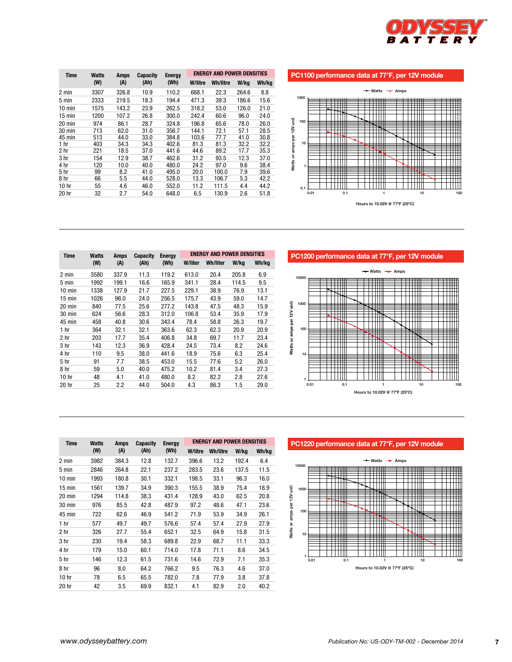

## **PC1100 performance data at 77°F, per 12V module**







| <b>Time</b>      | Watts | <b>Amps</b> | Capacity | <b>Energy</b><br>(Wh) | <b>ENERGY AND POWER DENSITIES</b> |                 |       |       |  |
|------------------|-------|-------------|----------|-----------------------|-----------------------------------|-----------------|-------|-------|--|
|                  | (W)   | (A)         | (Ah)     |                       | <b>W/liter</b>                    | <b>Wh/liter</b> | W/kg  | Wh/kg |  |
| 2 min            | 3580  | 337.9       | 11.3     | 119.2                 | 613.0                             | 20.4            | 205.8 | 6.9   |  |
| 5 min            | 1992  | 199.1       | 16.6     | 165.9                 | 341.1                             | 28.4            | 114.5 | 9.5   |  |
| 10 min           | 1338  | 127.9       | 21.7     | 227.5                 | 229.1                             | 38.9            | 76.9  | 13.1  |  |
| 15 min           | 1026  | 96.0        | 24.0     | 256.5                 | 175.7                             | 43.9            | 59.0  | 14.7  |  |
| 20 min           | 840   | 77.5        | 25.6     | 277.2                 | 143.8                             | 47.5            | 48.3  | 15.9  |  |
| 30 min           | 624   | 56.6        | 28.3     | 312.0                 | 106.8                             | 53.4            | 35.9  | 17.9  |  |
| 45 min           | 458   | 40.8        | 30.6     | 343.4                 | 78.4                              | 58.8            | 26.3  | 19.7  |  |
| 1 hr             | 364   | 32.1        | 32.1     | 363.6                 | 62.3                              | 62.3            | 20.9  | 20.9  |  |
| 2 hr             | 203   | 17.7        | 35.4     | 406.8                 | 34.8                              | 69.7            | 11.7  | 23.4  |  |
| 3 hr             | 143   | 12.3        | 36.9     | 428.4                 | 24.5                              | 73.4            | 8.2   | 24.6  |  |
| 4 hr             | 110   | 9.5         | 38.0     | 441.6                 | 18.9                              | 75.6            | 6.3   | 25.4  |  |
| 5 hr             | 91    | 7.7         | 38.5     | 453.0                 | 15.5                              | 77.6            | 5.2   | 26.0  |  |
| 8 hr             | 59    | 5.0         | 40.0     | 475.2                 | 10.2                              | 81.4            | 3.4   | 27.3  |  |
| 10 <sub>hr</sub> | 48    | 4.1         | 41.0     | 480.0                 | 8.2                               | 82.2            | 2.8   | 27.6  |  |
| 20 hr            | 25    | 2.2         | 44.0     | 504.0                 | 4.3                               | 86.3            | 1.5   | 29.0  |  |

| <b>Time</b>      | <b>Watts</b> | Amps  | <b>Capacity</b> | <b>Energy</b> | <b>ENERGY AND POWER DENSITIES</b> |                 |       |       |  |
|------------------|--------------|-------|-----------------|---------------|-----------------------------------|-----------------|-------|-------|--|
|                  | (W)          | (A)   | (Ah)            | (Wh)          | W/litre                           | <b>Wh/litre</b> | W/kg  | Wh/kg |  |
| 2 min            | 3982         | 384.3 | 12.8            | 132.7         | 396.6                             | 13.2            | 192.4 | 6.4   |  |
| 5 min            | 2846         | 264.8 | 22.1            | 237.2         | 283.5                             | 23.6            | 137.5 | 11.5  |  |
| $10 \text{ min}$ | 1993         | 180.8 | 30.1            | 332.1         | 198.5                             | 33.1            | 96.3  | 16.0  |  |
| $15$ min         | 1561         | 139.7 | 34.9            | 390.3         | 155.5                             | 38.9            | 75.4  | 18.9  |  |
| 20 min           | 1294         | 114.8 | 38.3            | 431.4         | 128.9                             | 43.0            | 62.5  | 20.8  |  |
| 30 min           | 976          | 85.5  | 42.8            | 487.9         | 97.2                              | 48.6            | 47.1  | 23.6  |  |
| 45 min           | 722          | 62.6  | 46.9            | 541.2         | 71.9                              | 53.9            | 34.9  | 26.1  |  |
| 1 hr             | 577          | 49.7  | 49.7            | 576.6         | 57.4                              | 57.4            | 27.9  | 27.9  |  |
| 2 hr             | 326          | 27.7  | 55.4            | 652.1         | 32.5                              | 64.9            | 15.8  | 31.5  |  |
| 3 hr             | 230          | 19.4  | 58.3            | 689.8         | 22.9                              | 68.7            | 11.1  | 33.3  |  |
| 4 hr             | 179          | 15.0  | 60.1            | 714.0         | 17.8                              | 71.1            | 8.6   | 34.5  |  |
| 5 <sub>hr</sub>  | 146          | 12.3  | 61.5            | 731.6         | 14.6                              | 72.9            | 7.1   | 35.3  |  |
| 8 hr             | 96           | 8.0   | 64.2            | 766.2         | 9.5                               | 76.3            | 4.6   | 37.0  |  |
| 10 <sub>hr</sub> | 78           | 6.5   | 65.5            | 782.0         | 7.8                               | 77.9            | 3.8   | 37.8  |  |
| 20 hr            | 42           | 3.5   | 69.9            | 832.1         | 4.1                               | 82.9            | 2.0   | 40.2  |  |

**PC1220 performance data at 77°F, per 12V module**

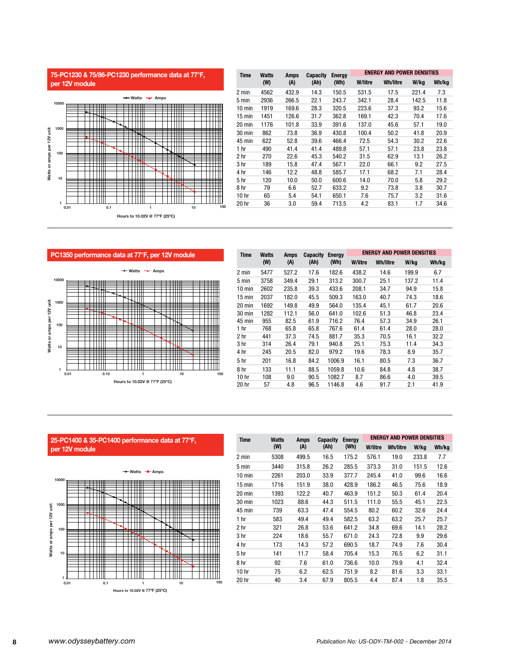



| <b>Time</b>      | Watts | Amps  | <b>Capacity</b> |       | <b>ENERGY AND POWER DENSITIES</b><br><b>Energy</b> |                 |       |       |  |
|------------------|-------|-------|-----------------|-------|----------------------------------------------------|-----------------|-------|-------|--|
|                  | (W)   | (A)   | (Ah)            | (Wh)  | W/litre                                            | <b>Wh/litre</b> | W/kg  | Wh/kg |  |
| 2 min            | 4562  | 432.9 | 14.3            | 150.5 | 531.5                                              | 17.5            | 221.4 | 7.3   |  |
| 5 min            | 2936  | 266.5 | 22.1            | 243.7 | 342.1                                              | 28.4            | 142.5 | 11.8  |  |
| $10 \text{ min}$ | 1919  | 169.6 | 28.3            | 320.5 | 223.6                                              | 37.3            | 93.2  | 15.6  |  |
| 15 min           | 1451  | 126.6 | 31.7            | 362.8 | 169.1                                              | 42.3            | 70.4  | 17.6  |  |
| 20 min           | 1176  | 101.8 | 33.9            | 391.6 | 137.0                                              | 45.6            | 57.1  | 19.0  |  |
| 30 min           | 862   | 73.8  | 36.9            | 430.8 | 100.4                                              | 50.2            | 41.8  | 20.9  |  |
| 45 min           | 622   | 52.8  | 39.6            | 466.4 | 72.5                                               | 54.3            | 30.2  | 22.6  |  |
| 1 hr             | 490   | 41.4  | 41.4            | 489.8 | 57.1                                               | 57.1            | 23.8  | 23.8  |  |
| 2 hr             | 270   | 22.6  | 45.3            | 540.2 | 31.5                                               | 62.9            | 13.1  | 26.2  |  |
| 3 <sub>hr</sub>  | 189   | 15.8  | 47.4            | 567.1 | 22.0                                               | 66.1            | 9.2   | 27.5  |  |
| 4 hr             | 146   | 12.2  | 48.8            | 585.7 | 17.1                                               | 68.2            | 7.1   | 28.4  |  |
| 5 hr             | 120   | 10.0  | 50.0            | 600.6 | 14.0                                               | 70.0            | 5.8   | 29.2  |  |
| 8 hr             | 79    | 6.6   | 52.7            | 633.2 | 9.2                                                | 73.8            | 3.8   | 30.7  |  |
| 10 hr            | 65    | 5.4   | 54.1            | 650.1 | 7.6                                                | 75.7            | 3.2   | 31.6  |  |
| 20 hr            | 36    | 3.0   | 59.4            | 713.5 | 4.2                                                | 83.1            | 1.7   | 34.6  |  |

**PC1350 performance data at 77°F, per 12V module**   $\rightarrow$  Watts  $\rightarrow$  Amps **10000**   $\left\langle \right\rangle$ EEEE<br>THUI  $\pm\pm\pm$ TTTTTT  $\ddot{\bar{\mathbf{s}}}$ **1000 Watts or amps per 12V unit**  Watts or amps per 12V **Tilli**<br>Stad alah dari da **100 TELLER** <u> Hill</u>  $\overline{\phantom{0}}$ T TITLE **10**  ╤╪╪ TH. TTTTTTT **TTTTII** TTTTTTT **1 100 0.01 0.10 1 10 Hours to 10.02V @ 77ºF (25ºC)**

| <b>Time</b>      | Watts | Amps  | <b>Capacity</b> | <b>Energy</b> |         | <b>ENERGY AND POWER DENSITIES</b> |       |       |
|------------------|-------|-------|-----------------|---------------|---------|-----------------------------------|-------|-------|
|                  | (W)   | (A)   | (Ah)            | (Wh)          | W/litre | <b>Wh/litre</b>                   | W/kg  | Wh/kg |
| 2 min            | 5477  | 527.2 | 17.6            | 182.6         | 438.2   | 14.6                              | 199.9 | 6.7   |
| 5 min            | 3758  | 349.4 | 29.1            | 313.2         | 300.7   | 25.1                              | 137.2 | 11.4  |
| $10 \text{ min}$ | 2602  | 235.8 | 39.3            | 433.6         | 208.1   | 34.7                              | 94.9  | 15.8  |
| $15 \text{ min}$ | 2037  | 182.0 | 45.5            | 509.3         | 163.0   | 40.7                              | 74.3  | 18.6  |
| 20 min           | 1692  | 149.8 | 49.9            | 564.0         | 135.4   | 45.1                              | 61.7  | 20.6  |
| 30 min           | 1282  | 112.1 | 56.0            | 641.0         | 102.6   | 51.3                              | 46.8  | 23.4  |
| 45 min           | 955   | 82.5  | 61.9            | 716.2         | 76.4    | 57.3                              | 34.9  | 26.1  |
| 1 hr             | 768   | 65.8  | 65.8            | 767.6         | 61.4    | 61.4                              | 28.0  | 28.0  |
| 2 hr             | 441   | 37.3  | 74.5            | 881.7         | 35.3    | 70.5                              | 16.1  | 32.2  |
| 3 hr             | 314   | 26.4  | 79.1            | 940.8         | 25.1    | 75.3                              | 11.4  | 34.3  |
| 4 hr             | 245   | 20.5  | 82.0            | 979.2         | 19.6    | 78.3                              | 8.9   | 35.7  |
| 5 <sub>hr</sub>  | 201   | 16.8  | 84.2            | 1006.9        | 16.1    | 80.5                              | 7.3   | 36.7  |
| 8 hr             | 133   | 11.1  | 88.5            | 1059.8        | 10.6    | 84.8                              | 4.8   | 38.7  |
| 10 hr            | 108   | 9.0   | 90.5            | 1082.7        | 8.7     | 86.6                              | 4.0   | 39.5  |
| 20 hr            | 57    | 4.8   | 96.5            | 1146.8        | 4.6     | 91.7                              | 2.1   | 41.9  |

# **25-PC1400 & 35-PC1400 performance data at 77°F, per 12V module**



| <b>Time</b><br><b>Watts</b> |      | Amps  | Capacity | Energy |         | <b>ENERGY AND POWER DENSITIES</b> |       |       |
|-----------------------------|------|-------|----------|--------|---------|-----------------------------------|-------|-------|
|                             | (W)  | (A)   | (Ah)     | (Wh)   | W/litre | <b>Wh/litre</b>                   | W/kg  | Wh/kg |
| 2 min                       | 5308 | 499.5 | 16.5     | 175.2  | 576.1   | 19.0                              | 233.8 | 7.7   |
| 5 min                       | 3440 | 315.8 | 26.2     | 285.5  | 373.3   | 31.0                              | 151.5 | 12.6  |
| $10 \text{ min}$            | 2261 | 203.0 | 33.9     | 377.7  | 245.4   | 41.0                              | 99.6  | 16.6  |
| $15 \text{ min}$            | 1716 | 151.9 | 38.0     | 428.9  | 186.2   | 46.5                              | 75.6  | 18.9  |
| $20 \text{ min}$            | 1393 | 122.2 | 40.7     | 463.9  | 151.2   | 50.3                              | 61.4  | 20.4  |
| 30 min                      | 1023 | 88.6  | 44.3     | 511.5  | 111.0   | 55.5                              | 45.1  | 22.5  |
| 45 min                      | 739  | 63.3  | 47.4     | 554.5  | 80.2    | 60.2                              | 32.6  | 24.4  |
| 1 hr                        | 583  | 49.4  | 49.4     | 582.5  | 63.2    | 63.2                              | 25.7  | 25.7  |
| 2 hr                        | 321  | 26.8  | 53.6     | 641.2  | 34.8    | 69.6                              | 14.1  | 28.2  |
| 3 hr                        | 224  | 18.6  | 55.7     | 671.0  | 24.3    | 72.8                              | 9.9   | 29.6  |
| 4 hr                        | 173  | 14.3  | 57.2     | 690.5  | 18.7    | 74.9                              | 7.6   | 30.4  |
| 5 <sub>hr</sub>             | 141  | 11.7  | 58.4     | 705.4  | 15.3    | 76.5                              | 6.2   | 31.1  |
| 8 hr                        | 92   | 7.6   | 61.0     | 736.6  | 10.0    | 79.9                              | 4.1   | 32.4  |
| 10 <sub>hr</sub>            | 75   | 6.2   | 62.5     | 751.9  | 8.2     | 81.6                              | 3.3   | 33.1  |
| 20 hr                       | 40   | 3.4   | 67.9     | 805.5  | 4.4     | 87.4                              | 1.8   | 35.5  |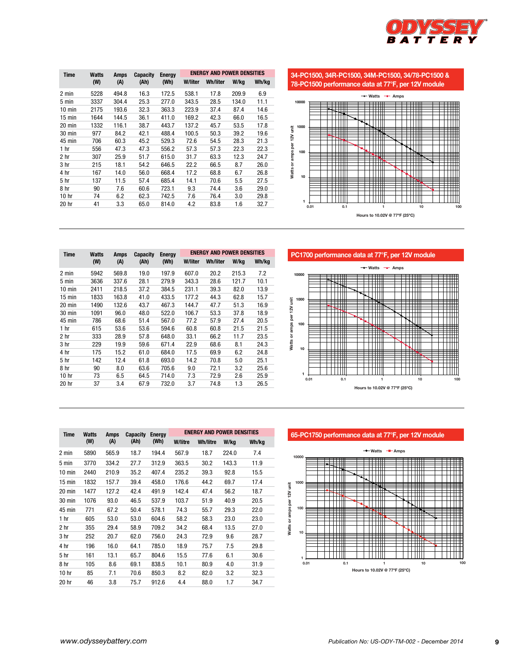

| <b>Time</b>     | <b>Watts</b> | <b>Amps</b> | Capacity | <b>Energy</b> | <b>ENERGY AND POWER DENSITIES</b> |                 |       |       |
|-----------------|--------------|-------------|----------|---------------|-----------------------------------|-----------------|-------|-------|
|                 | (W)          | (A)         | (Ah)     | (Wh)          | <b>W/liter</b>                    | <b>Wh/liter</b> | W/kg  | Wh/kg |
| 2 min           | 5228         | 494.8       | 16.3     | 172.5         | 538.1                             | 17.8            | 209.9 | 6.9   |
| 5 min           | 3337         | 304.4       | 25.3     | 277.0         | 343.5                             | 28.5            | 134.0 | 11.1  |
| 10 min          | 2175         | 193.6       | 32.3     | 363.3         | 223.9                             | 37.4            | 87.4  | 14.6  |
| $15$ min        | 1644         | 144.5       | 36.1     | 411.0         | 169.2                             | 42.3            | 66.0  | 16.5  |
| 20 min          | 1332         | 116.1       | 38.7     | 443.7         | 137.2                             | 45.7            | 53.5  | 17.8  |
| 30 min          | 977          | 84.2        | 42.1     | 488.4         | 100.5                             | 50.3            | 39.2  | 19.6  |
| 45 min          | 706          | 60.3        | 45.2     | 529.3         | 72.6                              | 54.5            | 28.3  | 21.3  |
| 1 <sub>hr</sub> | 556          | 47.3        | 47.3     | 556.2         | 57.3                              | 57.3            | 22.3  | 22.3  |
| 2 hr            | 307          | 25.9        | 51.7     | 615.0         | 31.7                              | 63.3            | 12.3  | 24.7  |
| 3 hr            | 215          | 18.1        | 54.2     | 646.5         | 22.2                              | 66.5            | 8.7   | 26.0  |
| 4 hr            | 167          | 14.0        | 56.0     | 668.4         | 17.2                              | 68.8            | 6.7   | 26.8  |
| 5 <sub>hr</sub> | 137          | 11.5        | 57.4     | 685.4         | 14.1                              | 70.6            | 5.5   | 27.5  |
| 8 hr            | 90           | 7.6         | 60.6     | 723.1         | 9.3                               | 74.4            | 3.6   | 29.0  |
| 10 hr           | 74           | 6.2         | 62.3     | 742.5         | 7.6                               | 76.4            | 3.0   | 29.8  |
| 20 hr           | 41           | 3.3         | 65.0     | 814.0         | 4.2                               | 83.8            | 1.6   | 32.7  |

**34-PC1500, 34R-PC1500, 34M-PC1500, 34/78-PC1500 &** 





**PC1700 performance data at 77°F, per 12V module**



|      |       | Capacity<br><b>Energy</b> |       |         | <b>ENERGY AND POWER DENSITIES</b> |       |       |  |
|------|-------|---------------------------|-------|---------|-----------------------------------|-------|-------|--|
| (W)  | (A)   | (Ah)                      | (Wh)  | W/liter | <b>Wh/liter</b>                   | W/kg  | Wh/kg |  |
| 5942 | 569.8 | 19.0                      | 197.9 | 607.0   | 20.2                              | 215.3 | 7.2   |  |
| 3636 | 337.6 | 28.1                      | 279.9 | 343.3   | 28.6                              | 121.7 | 10.1  |  |
| 2411 | 218.5 | 37.2                      | 384.5 | 231.1   | 39.3                              | 82.0  | 13.9  |  |
| 1833 | 163.8 | 41.0                      | 433.5 | 177.2   | 44.3                              | 62.8  | 15.7  |  |
| 1490 | 132.6 | 43.7                      | 467.3 | 144.7   | 47.7                              | 51.3  | 16.9  |  |
| 1091 | 96.0  | 48.0                      | 522.0 | 106.7   | 53.3                              | 37.8  | 18.9  |  |
| 786  | 68.6  | 51.4                      | 567.0 | 77.2    | 57.9                              | 27.4  | 20.5  |  |
| 615  | 53.6  | 53.6                      | 594.6 | 60.8    | 60.8                              | 21.5  | 21.5  |  |
| 333  | 28.9  | 57.8                      | 648.0 | 33.1    | 66.2                              | 11.7  | 23.5  |  |
| 229  | 19.9  | 59.6                      | 671.4 | 22.9    | 68.6                              | 8.1   | 24.3  |  |
| 175  | 15.2  | 61.0                      | 684.0 | 17.5    | 69.9                              | 6.2   | 24.8  |  |
| 142  | 12.4  | 61.8                      | 693.0 | 14.2    | 70.8                              | 5.0   | 25.1  |  |
| 90   | 8.0   | 63.6                      | 705.6 | 9.0     | 72.1                              | 3.2   | 25.6  |  |
| 73   | 6.5   | 64.5                      | 714.0 | 7.3     | 72.9                              | 2.6   | 25.9  |  |
| 37   | 3.4   | 67.9                      | 732.0 | 3.7     | 74.8                              | 1.3   | 26.5  |  |
|      | Watts | Amps                      |       |         |                                   |       |       |  |

**Time Watts 65-PC1750 performance data at 77°F, per 12V module**



| <b>Time</b>      | <b>Watts</b> | Amps  | <b>Capacity</b> | <b>Energy</b> |         | <b>ENERGY AND POWER DENSITIES</b> |       |       |
|------------------|--------------|-------|-----------------|---------------|---------|-----------------------------------|-------|-------|
|                  | (W)          | (A)   | (Ah)            | (Wh)          | W/litre | <b>Wh/litre</b>                   | W/kg  | Wh/kg |
| 2 min            | 5890         | 565.9 | 18.7            | 194.4         | 567.9   | 18.7                              | 224.0 | 7.4   |
| 5 min            | 3770         | 334.2 | 27.7            | 312.9         | 363.5   | 30.2                              | 143.3 | 11.9  |
| $10 \text{ min}$ | 2440         | 210.9 | 35.2            | 407.4         | 235.2   | 39.3                              | 92.8  | 15.5  |
| $15 \text{ min}$ | 1832         | 157.7 | 39.4            | 458.0         | 176.6   | 44.2                              | 69.7  | 17.4  |
| $20 \text{ min}$ | 1477         | 127.2 | 42.4            | 491.9         | 142.4   | 47.4                              | 56.2  | 18.7  |
| 30 min           | 1076         | 93.0  | 46.5            | 537.9         | 103.7   | 51.9                              | 40.9  | 20.5  |
| 45 min           | 771          | 67.2  | 50.4            | 578.1         | 74.3    | 55.7                              | 29.3  | 22.0  |
| 1 hr             | 605          | 53.0  | 53.0            | 604.6         | 58.2    | 58.3                              | 23.0  | 23.0  |
| 2 hr             | 355          | 29.4  | 58.9            | 709.2         | 34.2    | 68.4                              | 13.5  | 27.0  |
| 3 hr             | 252          | 20.7  | 62.0            | 756.0         | 24.3    | 72.9                              | 9.6   | 28.7  |
| 4 hr             | 196          | 16.0  | 64.1            | 785.0         | 18.9    | 75.7                              | 7.5   | 29.8  |
| 5 <sub>hr</sub>  | 161          | 13.1  | 65.7            | 804.6         | 15.5    | 77.6                              | 6.1   | 30.6  |
| 8 hr             | 105          | 8.6   | 69.1            | 838.5         | 10.1    | 80.9                              | 4.0   | 31.9  |
| 10 hr            | 85           | 7.1   | 70.6            | 850.3         | 8.2     | 82.0                              | 3.2   | 32.3  |
| 20 hr            | 46           | 3.8   | 75.7            | 912.6         | 4.4     | 88.0                              | 1.7   | 34.7  |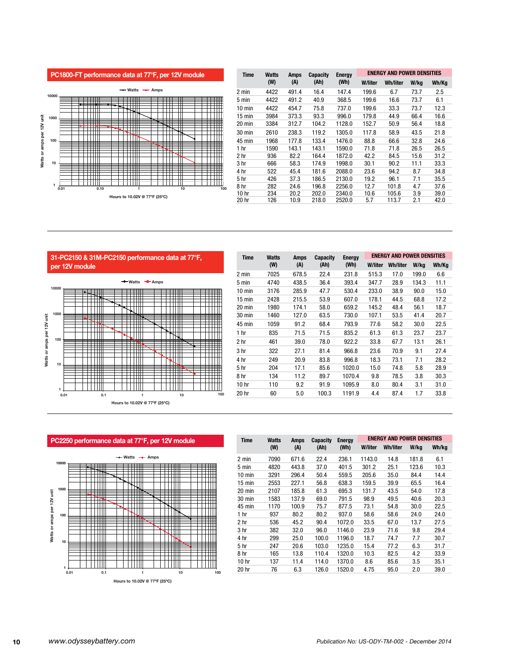

| Time             | Watts | Amps  | <b>Capacity</b> | <b>Energy</b> | <b>ENERGY AND POWER DENSITIES</b> |          |      |       |
|------------------|-------|-------|-----------------|---------------|-----------------------------------|----------|------|-------|
|                  | (W)   | (A)   | (Ah)            | (Wh)          | <b>W/liter</b>                    | Wh/liter | W/kg | Wh/Kg |
| 2 min            | 4422  | 491.4 | 16.4            | 147.4         | 199.6                             | 6.7      | 73.7 | 2.5   |
| 5 min            | 4422  | 491.2 | 40.9            | 368.5         | 199.6                             | 16.6     | 73.7 | 6.1   |
| 10 min           | 4422  | 454.7 | 75.8            | 737.0         | 199.6                             | 33.3     | 73.7 | 12.3  |
| 15 min           | 3984  | 373.3 | 93.3            | 996.0         | 179.8                             | 44.9     | 66.4 | 16.6  |
| $20 \text{ min}$ | 3384  | 312.7 | 104.2           | 1128.0        | 152.7                             | 50.9     | 56.4 | 18.8  |
| 30 min           | 2610  | 238.3 | 119.2           | 1305.0        | 117.8                             | 58.9     | 43.5 | 21.8  |
| 45 min           | 1968  | 177.8 | 133.4           | 1476.0        | 88.8                              | 66.6     | 32.8 | 24.6  |
| 1 hr             | 1590  | 143.1 | 143.1           | 1590.0        | 71.8                              | 71.8     | 26.5 | 26.5  |
| 2 hr             | 936   | 82.2  | 164.4           | 1872.0        | 42.2                              | 84.5     | 15.6 | 31.2  |
| 3 hr             | 666   | 58.3  | 174.9           | 1998.0        | 30.1                              | 90.2     | 11.1 | 33.3  |
| 4 hr             | 522   | 45.4  | 181.6           | 2088.0        | 23.6                              | 94.2     | 8.7  | 34.8  |
| 5 <sub>hr</sub>  | 426   | 37.3  | 186.5           | 2130.0        | 19.2                              | 96.1     | 7.1  | 35.5  |
| 8 hr             | 282   | 24.6  | 196.8           | 2256.0        | 12.7                              | 101.8    | 4.7  | 37.6  |
| 10 hr            | 234   | 20.2  | 202.0           | 2340.0        | 10.6                              | 105.6    | 3.9  | 39.0  |
| 20 hr            | 126   | 10.9  | 218.0           | 2520.0        | 5.7                               | 113.7    | 2.1  | 42.0  |

**31-PC2150 & 31M-PC2150 performance data at 77°F, per 12V module**



**Time Watts (W) Amps (A) Capacity (Ah) Energy (Wh) ENERGY AND POWER DENSITIES W/liter Wh/liter W/kg Wh/Kg** 2 min 7025 678.5 22.4 231.8 515.3 17.0 199.0 6.6 5 min 4740 438.5 36.4 393.4 347.7 28.9 134.3 11.1 10 min 3176 285.9 47.7 530.4 233.0 38.9 90.0 15.0 15 min 2428 215.5 53.9 607.0 178.1 44.5 68.8 17.2 20 min 1980 174.1 58.0 659.2 145.2 48.4 56.1 18.7 30 min 1460 127.0 63.5 730.0 107.1 53.5 41.4 20.7 45 min 1059 91.2 68.4 793.9 77.6 58.2 30.0 22.5 1 hr 835 71.5 71.5 835.2 61.3 61.3 23.7 23.7 2 hr 461 39.0 78.0 922.2 33.8 67.7 13.1 26.1 3 hr 322 27.1 81.4 966.8 23.6 70.9 9.1 27.4 4 hr 249 20.9 83.8 996.8 18.3 73.1 7.1 28.2 5 hr 204 17.1 85.6 1020.0 15.0 74.8 5.8 28.9 8 hr 134 11.2 89.7 1070.4 9.8 78.5 3.8 30.3 10 hr 110 9.2 91.9 1095.9 8.0 80.4 3.1 31.0 20 hr 60 5.0 100.3 1191.9 4.4 87.4 1.7 33.8

**PC2250 performance data at 77°F, per 12V module**



| <b>Time</b>     | <b>Watts</b> | Amps  | <b>Capacity</b> | <b>Energy</b> |         | <b>ENERGY AND POWER DENSITIES</b> |       |       |
|-----------------|--------------|-------|-----------------|---------------|---------|-----------------------------------|-------|-------|
|                 | (W)          | (A)   | (Ah)            | (Wh)          | W/liter | <b>Wh/liter</b>                   | W/kg  | Wh/kg |
| 2 min           | 7090         | 671.6 | 22.4            | 236.1         | 1143.0  | 14.8                              | 181.8 | 6.1   |
| 5 min           | 4820         | 443.8 | 37.0            | 401.5         | 301.2   | 25.1                              | 123.6 | 10.3  |
| 10 min          | 3291         | 296.4 | 50.4            | 559.5         | 205.6   | 35.0                              | 84.4  | 14.4  |
| 15 min          | 2553         | 227.1 | 56.8            | 638.3         | 159.5   | 39.9                              | 65.5  | 16.4  |
| 20 min          | 2107         | 185.8 | 61.3            | 695.3         | 131.7   | 43.5                              | 54.0  | 17.8  |
| 30 min          | 1583         | 137.9 | 69.0            | 791.5         | 98.9    | 49.5                              | 40.6  | 20.3  |
| 45 min          | 1170         | 100.9 | 75.7            | 877.5         | 73.1    | 54.8                              | 30.0  | 22.5  |
| 1 <sub>hr</sub> | 937          | 80.2  | 80.2            | 937.0         | 58.6    | 58.6                              | 24.0  | 24.0  |
| 2 hr            | 536          | 45.2  | 90.4            | 1072.0        | 33.5    | 67.0                              | 13.7  | 27.5  |
| 3 <sub>hr</sub> | 382          | 32.0  | 96.0            | 1146.0        | 23.9    | 71.6                              | 9.8   | 29.4  |
| 4 hr            | 299          | 25.0  | 100.0           | 1196.0        | 18.7    | 74.7                              | 7.7   | 30.7  |
| 5 <sub>hr</sub> | 247          | 20.6  | 103.0           | 1235.0        | 15.4    | 77.2                              | 6.3   | 31.7  |
| 8 hr            | 165          | 13.8  | 110.4           | 1320.0        | 10.3    | 82.5                              | 4.2   | 33.9  |
| 10 hr           | 137          | 11.4  | 114.0           | 1370.0        | 8.6     | 85.6                              | 3.5   | 35.1  |
| 20 hr           | 76           | 6.3   | 126.0           | 1520.0        | 4.75    | 95.0                              | 2.0   | 39.0  |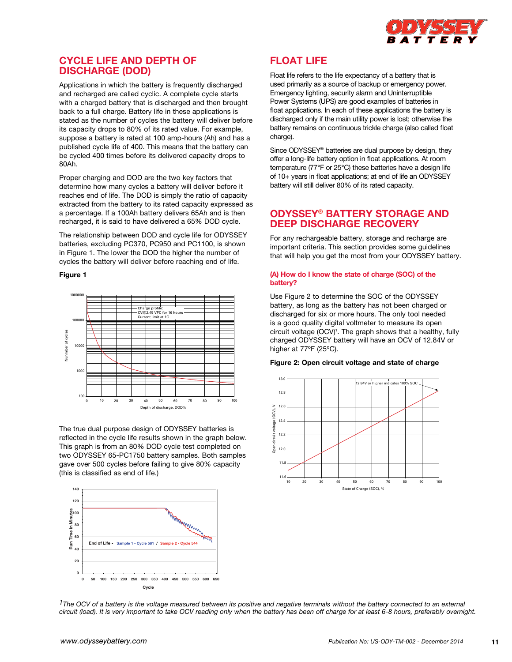

# **Cycle life and depth of discharge (DOD)**

Applications in which the battery is frequently discharged and recharged are called cyclic. A complete cycle starts with a charged battery that is discharged and then brought back to a full charge. Battery life in these applications is stated as the number of cycles the battery will deliver before its capacity drops to 80% of its rated value. For example, suppose a battery is rated at 100 amp-hours (Ah) and has a published cycle life of 400. This means that the battery can be cycled 400 times before its delivered capacity drops to 80Ah.

Proper charging and DOD are the two key factors that determine how many cycles a battery will deliver before it reaches end of life. The DOD is simply the ratio of capacity extracted from the battery to its rated capacity expressed as a percentage. If a 100Ah battery delivers 65Ah and is then recharged, it is said to have delivered a 65% DOD cycle.

The relationship between DOD and cycle life for ODYSSEY batteries, excluding PC370, PC950 and PC1100, is shown in Figure 1. The lower the DOD the higher the number of cycles the battery will deliver before reaching end of life.

#### **Figure 1**



The true dual purpose design of ODYSSEY batteries is reflected in the cycle life results shown in the graph below. This graph is from an 80% DOD cycle test completed on two ODYSSEY 65-PC1750 battery samples. Both samples gave over 500 cycles before failing to give 80% capacity (this is classified as end of life.)



# **Float life**

Float life refers to the life expectancy of a battery that is used primarily as a source of backup or emergency power. Emergency lighting, security alarm and Uninterruptible Power Systems (UPS) are good examples of batteries in float applications. In each of these applications the battery is discharged only if the main utility power is lost; otherwise the battery remains on continuous trickle charge (also called float charge).

Since ODYSSEY® batteries are dual purpose by design, they offer a long-life battery option in float applications. At room temperature (77°F or 25°C) these batteries have a design life of 10+ years in float applications; at end of life an ODYSSEY battery will still deliver 80% of its rated capacity.

# **Odyssey® Battery storage and deep discharge recovery**

For any rechargeable battery, storage and recharge are important criteria. This section provides some guidelines that will help you get the most from your ODYSSEY battery.

### **(A) How do I know the state of charge (SOC) of the battery?**

Use Figure 2 to determine the SOC of the ODYSSEY battery, as long as the battery has not been charged or discharged for six or more hours. The only tool needed is a good quality digital voltmeter to measure its open circuit voltage (OCV)<sup>1</sup>. The graph shows that a healthy, fully charged ODYSSEY battery will have an OCV of 12.84V or higher at 77ºF (25ºC).

## **Figure 2: Open circuit voltage and state of charge**



*1The OCV of a battery is the voltage measured between its positive and negative terminals without the battery connected to an external circuit (load). It is very important to take OCV reading only when the battery has been off charge for at least 6-8 hours, preferably overnight.*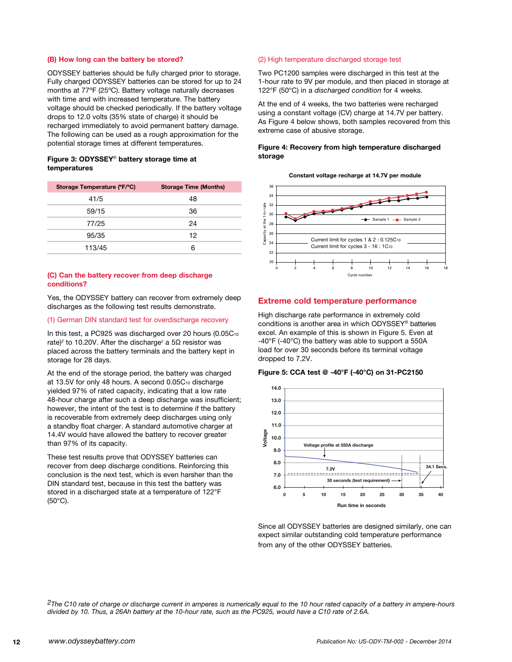## **(B) How long can the battery be stored?**

ODYSSEY batteries should be fully charged prior to storage. Fully charged ODYSSEY batteries can be stored for up to 24 months at 77ºF (25ºC). Battery voltage naturally decreases with time and with increased temperature. The battery voltage should be checked periodically. If the battery voltage drops to 12.0 volts (35% state of charge) it should be recharged immediately to avoid permanent battery damage. The following can be used as a rough approximation for the potential storage times at different temperatures.

### **Figure 3: Odyssey**® **battery storage time at temperatures**

| Storage Temperature (°F/°C) | <b>Storage Time (Months)</b> |
|-----------------------------|------------------------------|
| 41/5                        | 48                           |
| 59/15                       | 36                           |
| 77/25                       | 24                           |
| 95/35                       | 12                           |
| 113/45                      | 6                            |

## **(C) Can the battery recover from deep discharge conditions?**

Yes, the ODYSSEY battery can recover from extremely deep discharges as the following test results demonstrate.

#### (1) German DIN standard test for overdischarge recovery

In this test, a PC925 was discharged over 20 hours  $(0.05C_{10})$ rate)<sup>2</sup> to 10.20V. After the discharge<sup>2</sup> a 5Ω resistor was placed across the battery terminals and the battery kept in storage for 28 days.

At the end of the storage period, the battery was charged at 13.5V for only 48 hours. A second 0.05C10 discharge yielded 97% of rated capacity, indicating that a low rate 48-hour charge after such a deep discharge was insufficient; however, the intent of the test is to determine if the battery is recoverable from extremely deep discharges using only a standby float charger. A standard automotive charger at 14.4V would have allowed the battery to recover greater than 97% of its capacity.

These test results prove that ODYSSEY batteries can recover from deep discharge conditions. Reinforcing this conclusion is the next test, which is even harsher than the DIN standard test, because in this test the battery was stored in a discharged state at a temperature of 122°F (50°C).

## (2) High temperature discharged storage test

Two PC1200 samples were discharged in this test at the 1-hour rate to 9V per module, and then placed in storage at 122°F (50°C) in a *discharged condition* for 4 weeks.

At the end of 4 weeks, the two batteries were recharged using a constant voltage (CV) charge at 14.7V per battery. As Figure 4 below shows, both samples recovered from this extreme case of abusive storage.

## **Figure 4: Recovery from high temperature discharged storage**

**Constant voltage recharge at 14.7V per module**



## **Extreme cold temperature performance**

High discharge rate performance in extremely cold conditions is another area in which ODYSSEY® batteries excel. An example of this is shown in Figure 5. Even at -40°F (-40°C) the battery was able to support a 550A load for over 30 seconds before its terminal voltage dropped to 7.2V.

#### **Figure 5: CCA test @ -40°F (-40°C) on 31-PC2150**



Since all ODYSSEY batteries are designed similarly, one can expect similar outstanding cold temperature performance from any of the other ODYSSEY batteries.

*2The C10 rate of charge or discharge current in amperes is numerically equal to the 10 hour rated capacity of a battery in ampere-hours divided by 10. Thus, a 26Ah battery at the 10-hour rate, such as the PC925, would have a C10 rate of 2.6A.*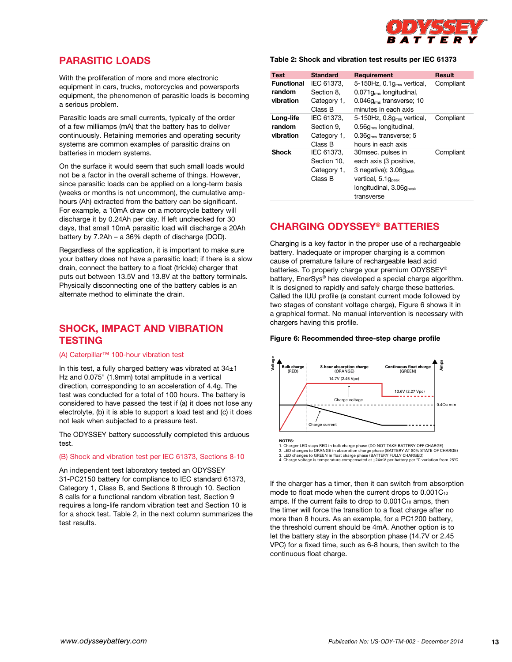

# **Parasitic loads**

With the proliferation of more and more electronic equipment in cars, trucks, motorcycles and powersports equipment, the phenomenon of parasitic loads is becoming a serious problem.

Parasitic loads are small currents, typically of the order of a few milliamps (mA) that the battery has to deliver continuously. Retaining memories and operating security systems are common examples of parasitic drains on batteries in modern systems.

On the surface it would seem that such small loads would not be a factor in the overall scheme of things. However, since parasitic loads can be applied on a long-term basis (weeks or months is not uncommon), the cumulative amphours (Ah) extracted from the battery can be significant. For example, a 10mA draw on a motorcycle battery will discharge it by 0.24Ah per day. If left unchecked for 30 days, that small 10mA parasitic load will discharge a 20Ah battery by 7.2Ah – a 36% depth of discharge (DOD).

Regardless of the application, it is important to make sure your battery does not have a parasitic load; if there is a slow drain, connect the battery to a float (trickle) charger that puts out between 13.5V and 13.8V at the battery terminals. Physically disconnecting one of the battery cables is an alternate method to eliminate the drain.

# **Shock, impact and vibration testing**

#### (A) Caterpillar™ 100-hour vibration test

In this test, a fully charged battery was vibrated at  $34±1$ Hz and 0.075" (1.9mm) total amplitude in a vertical direction, corresponding to an acceleration of 4.4g. The test was conducted for a total of 100 hours. The battery is considered to have passed the test if (a) it does not lose any electrolyte, (b) it is able to support a load test and (c) it does not leak when subjected to a pressure test.

The ODYSSEY battery successfully completed this arduous test.

### (B) Shock and vibration test per IEC 61373, Sections 8-10

An independent test laboratory tested an ODYSSEY 31-PC2150 battery for compliance to IEC standard 61373, Category 1, Class B, and Sections 8 through 10. Section 8 calls for a functional random vibration test, Section 9 requires a long-life random vibration test and Section 10 is for a shock test. Table 2, in the next column summarizes the test results.

## **Table 2: Shock and vibration test results per IEC 61373**

| <b>Test</b>       | <b>Standard</b> | Requirement                            | Result    |
|-------------------|-----------------|----------------------------------------|-----------|
| <b>Functional</b> | IEC 61373.      | 5-150Hz, 0.1g <sub>rms</sub> vertical, | Compliant |
| random            | Section 8.      | $0.071qrms$ longitudinal,              |           |
| vibration         | Category 1,     | $0.046qrms$ transverse; 10             |           |
|                   | Class B         | minutes in each axis                   |           |
| Long-life         | IEC 61373,      | $5-150$ Hz, $0.8qrms$ vertical,        | Compliant |
| random            | Section 9.      | $0.56grms$ longitudinal,               |           |
| vibration         | Category 1,     | $0.36qms$ transverse; 5                |           |
|                   | Class B         | hours in each axis                     |           |
| <b>Shock</b>      | IEC 61373,      | 30msec. pulses in                      | Compliant |
|                   | Section 10,     | each axis (3 positive,                 |           |
|                   | Category 1,     | 3 negative); $3.06q_{\text{peak}}$     |           |
|                   | Class B         | vertical, 5.1 g <sub>peak</sub>        |           |
|                   |                 | longitudinal, 3.06g <sub>peak</sub>    |           |
|                   |                 | transverse                             |           |

# **Charging ODYSSEY® batteries**

Charging is a key factor in the proper use of a rechargeable battery. Inadequate or improper charging is a common cause of premature failure of rechargeable lead acid batteries. To properly charge your premium ODYSSEY® battery, EnerSys® has developed a special charge algorithm. It is designed to rapidly and safely charge these batteries. Called the IUU profile (a constant current mode followed by two stages of constant voltage charge), Figure 6 shows it in a graphical format. No manual intervention is necessary with chargers having this profile.

#### **Figure 6: Recommended three-step charge profile**



**NOTES:**<br>1. Charger LED stays RED in bulk charge phase (DO NOT TAKE BATTERY OFF CHARGE)<br>2. LED changes to ORANGE in absorption charge phase (BATTERY AT 80% STATE OF CHARGE)<br>3. LED changes to GREEN in float charge phase (BA

If the charger has a timer, then it can switch from absorption mode to float mode when the current drops to 0.001C10 amps. If the current fails to drop to  $0.001C_{10}$  amps, then the timer will force the transition to a float charge after no more than 8 hours. As an example, for a PC1200 battery, the threshold current should be 4mA. Another option is to let the battery stay in the absorption phase (14.7V or 2.45 VPC) for a fixed time, such as 6-8 hours, then switch to the continuous float charge.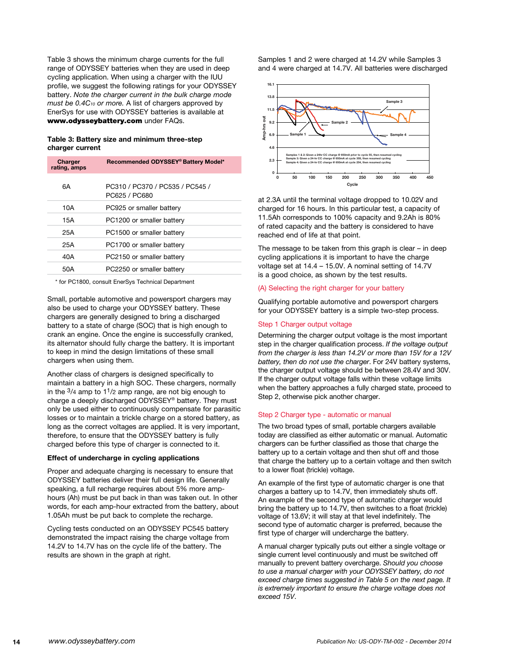Table 3 shows the minimum charge currents for the full range of ODYSSEY batteries when they are used in deep cycling application. When using a charger with the IUU profile, we suggest the following ratings for your ODYSSEY battery. *Note the charger current in the bulk charge mode must be 0.4C10 or more.* A list of chargers approved by EnerSys for use with ODYSSEY batteries is available at www.odysseybattery.com under FAQs.

### **Table 3: Battery size and minimum three-step charger current**

| Charger<br>rating, amps | Recommended ODYSSEY® Battery Model*              |
|-------------------------|--------------------------------------------------|
| 6A                      | PC310 / PC370 / PC535 / PC545 /<br>PC625 / PC680 |
| 10A                     | PC925 or smaller battery                         |
| 15A                     | PC1200 or smaller battery                        |
| 25A                     | PC1500 or smaller battery                        |
| 25A                     | PC1700 or smaller battery                        |
| 40A                     | PC2150 or smaller battery                        |
| 50A                     | PC2250 or smaller battery                        |
|                         |                                                  |

\* for PC1800, consult EnerSys Technical Department

Small, portable automotive and powersport chargers may also be used to charge your ODYSSEY battery. These chargers are generally designed to bring a discharged battery to a state of charge (SOC) that is high enough to crank an engine. Once the engine is successfully cranked, its alternator should fully charge the battery. It is important to keep in mind the design limitations of these small chargers when using them.

Another class of chargers is designed specifically to maintain a battery in a high SOC. These chargers, normally in the  $\frac{3}{4}$  amp to  $\frac{11}{2}$  amp range, are not big enough to charge a deeply discharged ODYSSEY® battery. They must only be used either to continuously compensate for parasitic losses or to maintain a trickle charge on a stored battery, as long as the correct voltages are applied. It is very important, therefore, to ensure that the ODYSSEY battery is fully charged before this type of charger is connected to it.

#### **Effect of undercharge in cycling applications**

Proper and adequate charging is necessary to ensure that ODYSSEY batteries deliver their full design life. Generally speaking, a full recharge requires about 5% more amphours (Ah) must be put back in than was taken out. In other words, for each amp-hour extracted from the battery, about 1.05Ah must be put back to complete the recharge.

Cycling tests conducted on an ODYSSEY PC545 battery demonstrated the impact raising the charge voltage from 14.2V to 14.7V has on the cycle life of the battery. The results are shown in the graph at right.

Samples 1 and 2 were charged at 14.2V while Samples 3 and 4 were charged at 14.7V. All batteries were discharged



at 2.3A until the terminal voltage dropped to 10.02V and charged for 16 hours. In this particular test, a capacity of 11.5Ah corresponds to 100% capacity and 9.2Ah is 80% of rated capacity and the battery is considered to have reached end of life at that point.

The message to be taken from this graph is clear – in deep cycling applications it is important to have the charge voltage set at 14.4 – 15.0V. A nominal setting of 14.7V is a good choice, as shown by the test results.

### (A) Selecting the right charger for your battery

Qualifying portable automotive and powersport chargers for your ODYSSEY battery is a simple two-step process.

#### Step 1 Charger output voltage

Determining the charger output voltage is the most important step in the charger qualification process. *If the voltage output from the charger is less than 14.2V or more than 15V for a 12V battery, then do not use the charger*. For 24V battery systems, the charger output voltage should be between 28.4V and 30V. If the charger output voltage falls within these voltage limits when the battery approaches a fully charged state, proceed to Step 2, otherwise pick another charger.

#### Step 2 Charger type - automatic or manual

The two broad types of small, portable chargers available today are classified as either automatic or manual. Automatic chargers can be further classified as those that charge the battery up to a certain voltage and then shut off and those that charge the battery up to a certain voltage and then switch to a lower float (trickle) voltage.

An example of the first type of automatic charger is one that charges a battery up to 14.7V, then immediately shuts off. An example of the second type of automatic charger would bring the battery up to 14.7V, then switches to a float (trickle) voltage of 13.6V; it will stay at that level indefinitely. The second type of automatic charger is preferred, because the first type of charger will undercharge the battery.

A manual charger typically puts out either a single voltage or single current level continuously and must be switched off manually to prevent battery overcharge. *Should you choose to use a manual charger with your ODYSSEY battery, do not exceed charge times suggested in Table 5 on the next page. It is extremely important to ensure the charge voltage does not exceed 15V*.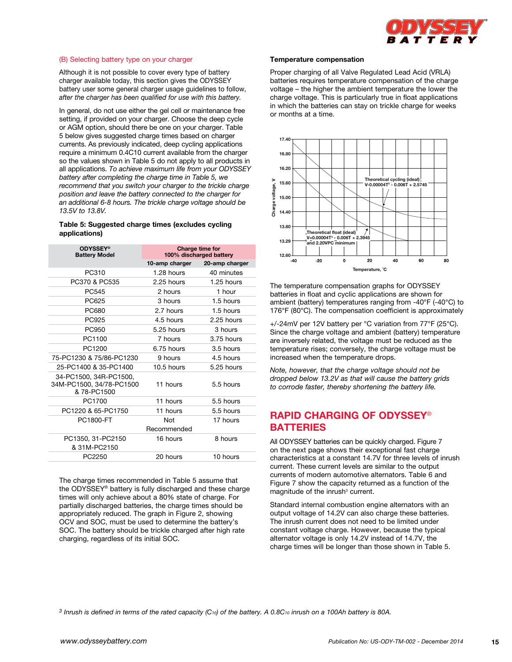

### (B) Selecting battery type on your charger

Although it is not possible to cover every type of battery charger available today, this section gives the ODYSSEY battery user some general charger usage guidelines to follow, *after the charger has been qualified for use with this battery.*

In general, do not use either the gel cell or maintenance free setting, if provided on your charger. Choose the deep cycle or AGM option, should there be one on your charger. Table 5 below gives suggested charge times based on charger currents. As previously indicated, deep cycling applications require a minimum 0.4C10 current available from the charger so the values shown in Table 5 do not apply to all products in all applications. *To achieve maximum life from your ODYSSEY battery after completing the charge time in Table 5, we recommend that you switch your charger to the trickle charge position and leave the battery connected to the charger for an additional 6-8 hours. The trickle charge voltage should be 13.5V to 13.8V.*

## **Table 5: Suggested charge times (excludes cycling applications)**

| <b>ODYSSEY®</b><br><b>Battery Model</b>                           | Charge time for<br>100% discharged battery |                |
|-------------------------------------------------------------------|--------------------------------------------|----------------|
|                                                                   | 10-amp charger                             | 20-amp charger |
| PC310                                                             | 1.28 hours                                 | 40 minutes     |
| PC370 & PC535                                                     | 2.25 hours                                 | 1.25 hours     |
| PC545                                                             | 2 hours                                    | 1 hour         |
| PC625                                                             | 3 hours                                    | 1.5 hours      |
| PC680                                                             | 2.7 hours                                  | 1.5 hours      |
| PC925                                                             | 4.5 hours                                  | 2.25 hours     |
| PC950                                                             | 5.25 hours                                 | 3 hours        |
| PC1100                                                            | 7 hours                                    | 3.75 hours     |
| PC1200                                                            | 6.75 hours                                 | 3.5 hours      |
| 75-PC1230 & 75/86-PC1230                                          | 9 hours                                    | 4.5 hours      |
| 25-PC1400 & 35-PC1400                                             | 10.5 hours                                 | 5.25 hours     |
| 34-PC1500, 34R-PC1500,<br>34M-PC1500, 34/78-PC1500<br>& 78-PC1500 | 11 hours                                   | 5.5 hours      |
| PC1700                                                            | 11 hours                                   | 5.5 hours      |
| PC1220 & 65-PC1750                                                | 11 hours                                   | 5.5 hours      |
| PC1800-FT                                                         | Not                                        | 17 hours       |
|                                                                   | Recommended                                |                |
| PC1350, 31-PC2150                                                 | 16 hours                                   | 8 hours        |
| & 31M-PC2150                                                      |                                            |                |
| PC2250                                                            | 20 hours                                   | 10 hours       |

The charge times recommended in Table 5 assume that the ODYSSEY® battery is fully discharged and these charge times will only achieve about a 80% state of charge. For partially discharged batteries, the charge times should be appropriately reduced. The graph in Figure 2, showing OCV and SOC, must be used to determine the battery's SOC. The battery should be trickle charged after high rate charging, regardless of its initial SOC.

#### **Temperature compensation**

Proper charging of all Valve Regulated Lead Acid (VRLA) batteries requires temperature compensation of the charge voltage – the higher the ambient temperature the lower the charge voltage. This is particularly true in float applications in which the batteries can stay on trickle charge for weeks or months at a time.



The temperature compensation graphs for ODYSSEY batteries in float and cyclic applications are shown for ambient (battery) temperatures ranging from -40°F (-40°C) to 176°F (80°C). The compensation coefficient is approximately

+/-24mV per 12V battery per °C variation from 77°F (25°C). Since the charge voltage and ambient (battery) temperature are inversely related, the voltage must be reduced as the temperature rises; conversely, the charge voltage must be increased when the temperature drops.

*Note, however, that the charge voltage should not be dropped below 13.2V as that will cause the battery grids to corrode faster, thereby shortening the battery life.*

# **Rapid charging of ODYSSEY**® **Batteries**

All ODYSSEY batteries can be quickly charged. Figure 7 on the next page shows their exceptional fast charge characteristics at a constant 14.7V for three levels of inrush current. These current levels are similar to the output currents of modern automotive alternators. Table 6 and Figure 7 show the capacity returned as a function of the magnitude of the inrush<sup>3</sup> current.

Standard internal combustion engine alternators with an output voltage of 14.2V can also charge these batteries. The inrush current does not need to be limited under constant voltage charge. However, because the typical alternator voltage is only 14.2V instead of 14.7V, the charge times will be longer than those shown in Table 5.

*3 Inrush is defined in terms of the rated capacity (C10) of the battery. A 0.8C10 inrush on a 100Ah battery is 80A.*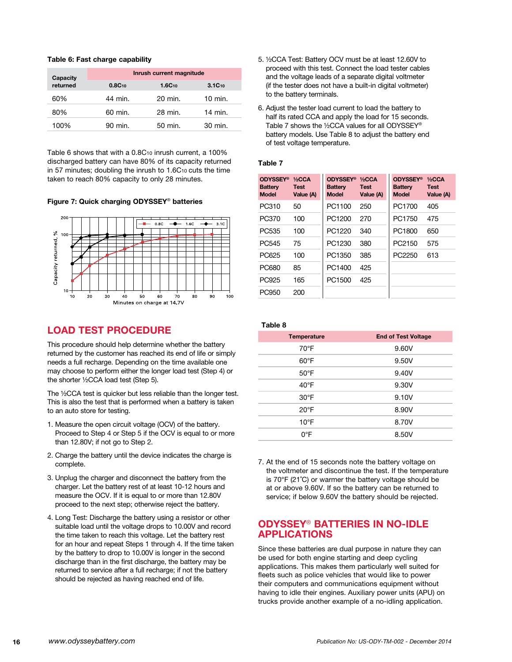## **Table 6: Fast charge capability**

| Capacity<br>returned |             | Inrush current magnitude |                   |
|----------------------|-------------|--------------------------|-------------------|
|                      | $0.8C_{10}$ | $1.6C_{10}$              | $3.1C_{10}$       |
| 60%                  | 44 min.     | $20 \text{ min}$ .       | $10 \text{ min.}$ |
| 80%                  | 60 min.     | 28 min.                  | 14 min.           |
| 100%                 | 90 min.     | 50 min.                  | 30 min.           |

Table 6 shows that with a 0.8C10 inrush current, a 100% discharged battery can have 80% of its capacity returned in 57 minutes; doubling the inrush to 1.6C10 cuts the time taken to reach 80% capacity to only 28 minutes.

### **Figure 7: Quick charging ODYSSEY**® **batteries**



# **Load test procedure**

This procedure should help determine whether the battery returned by the customer has reached its end of life or simply needs a full recharge. Depending on the time available one may choose to perform either the longer load test (Step 4) or the shorter ½CCA load test (Step 5).

The ½CCA test is quicker but less reliable than the longer test. This is also the test that is performed when a battery is taken to an auto store for testing.

- 1. Measure the open circuit voltage (OCV) of the battery. Proceed to Step 4 or Step 5 if the OCV is equal to or more than 12.80V; if not go to Step 2.
- 2. Charge the battery until the device indicates the charge is complete.
- 3. Unplug the charger and disconnect the battery from the charger. Let the battery rest of at least 10-12 hours and measure the OCV. If it is equal to or more than 12.80V proceed to the next step; otherwise reject the battery.
- 4. Long Test: Discharge the battery using a resistor or other suitable load until the voltage drops to 10.00V and record the time taken to reach this voltage. Let the battery rest for an hour and repeat Steps 1 through 4. If the time taken by the battery to drop to 10.00V is longer in the second discharge than in the first discharge, the battery may be returned to service after a full recharge; if not the battery should be rejected as having reached end of life.
- 5. ½CCA Test: Battery OCV must be at least 12.60V to proceed with this test. Connect the load tester cables and the voltage leads of a separate digital voltmeter (if the tester does not have a built-in digital voltmeter) to the battery terminals.
- 6. Adjust the tester load current to load the battery to half its rated CCA and apply the load for 15 seconds. Table 7 shows the ½CCA values for all ODYSSEY® battery models. Use Table 8 to adjust the battery end of test voltage temperature.

#### **Table 7**

| <b>ODYSSEY®</b><br><b>Battery</b><br><b>Model</b> | $1/2$ CCA<br><b>Test</b><br>Value (A) | <b>ODYSSEY®</b><br><b>Battery</b><br><b>Model</b> | $1/2$ CCA<br><b>Test</b><br>Value (A) | <b>ODYSSEY®</b><br><b>Battery</b><br><b>Model</b> | $1/2$ CCA<br><b>Test</b><br>Value (A) |
|---------------------------------------------------|---------------------------------------|---------------------------------------------------|---------------------------------------|---------------------------------------------------|---------------------------------------|
| PC310                                             | 50                                    | PC1100                                            | 250                                   | PC1700                                            | 405                                   |
| PC370                                             | 100                                   | PC1200                                            | 270                                   | PC1750                                            | 475                                   |
| PC <sub>535</sub>                                 | 100                                   | PC1220                                            | 340                                   | PC1800                                            | 650                                   |
| PC <sub>545</sub>                                 | 75                                    | PC1230                                            | 380                                   | PC2150                                            | 575                                   |
| PC625                                             | 100                                   | PC1350                                            | 385                                   | PC <sub>2250</sub>                                | 613                                   |
| <b>PC680</b>                                      | 85                                    | PC1400                                            | 425                                   |                                                   |                                       |
| PC925                                             | 165                                   | PC1500                                            | 425                                   |                                                   |                                       |
| PC950                                             | 200                                   |                                                   |                                       |                                                   |                                       |

| ı<br> |  |
|-------|--|
|-------|--|

| <b>Temperature</b> | <b>End of Test Voltage</b> |  |
|--------------------|----------------------------|--|
| $70^{\circ}$ F     | 9.60V                      |  |
| $60^{\circ}$ F     | 9.50V                      |  |
| $50^{\circ}$ F     | 9.40V                      |  |
| $40^{\circ}$ F     | 9.30V                      |  |
| $30^{\circ}$ F     | 9.10V                      |  |
| $20^{\circ}$ F     | 8.90V                      |  |
| $10^{\circ}$ F     | 8.70V                      |  |
| $0^{\circ}$ F      | 8.50V                      |  |
|                    |                            |  |

7. At the end of 15 seconds note the battery voltage on the voltmeter and discontinue the test. If the temperature is 70°F (21˚C) or warmer the battery voltage should be at or above 9.60V. If so the battery can be returned to service; if below 9.60V the battery should be rejected.

# **ODYSSEY**® **Batteries in no-idle applications**

Since these batteries are dual purpose in nature they can be used for both engine starting and deep cycling applications. This makes them particularly well suited for fleets such as police vehicles that would like to power their computers and communications equipment without having to idle their engines. Auxiliary power units (APU) on trucks provide another example of a no-idling application.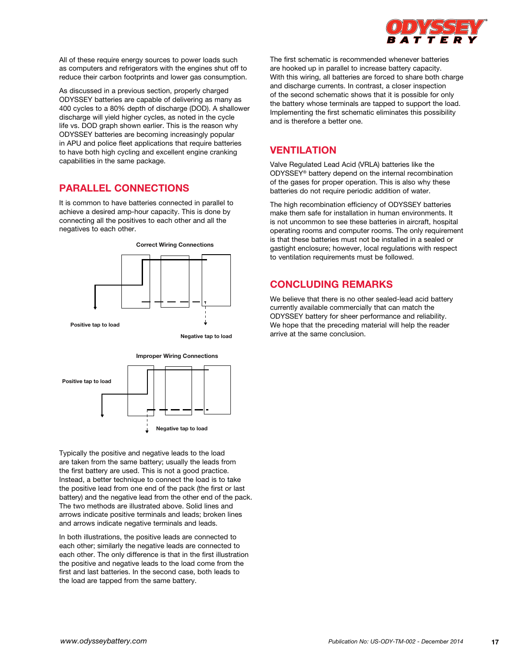

All of these require energy sources to power loads such as computers and refrigerators with the engines shut off to reduce their carbon footprints and lower gas consumption.

As discussed in a previous section, properly charged ODYSSEY batteries are capable of delivering as many as 400 cycles to a 80% depth of discharge (DOD). A shallower discharge will yield higher cycles, as noted in the cycle life vs. DOD graph shown earlier. This is the reason why ODYSSEY batteries are becoming increasingly popular in APU and police fleet applications that require batteries to have both high cycling and excellent engine cranking capabilities in the same package.

# **Parallel connections**

It is common to have batteries connected in parallel to achieve a desired amp-hour capacity. This is done by connecting all the positives to each other and all the negatives to each other.





Typically the positive and negative leads to the load are taken from the same battery; usually the leads from the first battery are used. This is not a good practice. Instead, a better technique to connect the load is to take the positive lead from one end of the pack (the first or last battery) and the negative lead from the other end of the pack. The two methods are illustrated above. Solid lines and arrows indicate positive terminals and leads; broken lines and arrows indicate negative terminals and leads.

In both illustrations, the positive leads are connected to each other; similarly the negative leads are connected to each other. The only difference is that in the first illustration the positive and negative leads to the load come from the first and last batteries. In the second case, both leads to the load are tapped from the same battery.

The first schematic is recommended whenever batteries are hooked up in parallel to increase battery capacity. With this wiring, all batteries are forced to share both charge and discharge currents. In contrast, a closer inspection of the second schematic shows that it is possible for only the battery whose terminals are tapped to support the load. Implementing the first schematic eliminates this possibility and is therefore a better one.

# **Ventilation**

Valve Regulated Lead Acid (VRLA) batteries like the ODYSSEY® battery depend on the internal recombination of the gases for proper operation. This is also why these batteries do not require periodic addition of water.

The high recombination efficiency of ODYSSEY batteries make them safe for installation in human environments. It is not uncommon to see these batteries in aircraft, hospital operating rooms and computer rooms. The only requirement is that these batteries must not be installed in a sealed or gastight enclosure; however, local regulations with respect to ventilation requirements must be followed.

# **Concluding remarks**

We believe that there is no other sealed-lead acid battery currently available commercially that can match the ODYSSEY battery for sheer performance and reliability. We hope that the preceding material will help the reader arrive at the same conclusion.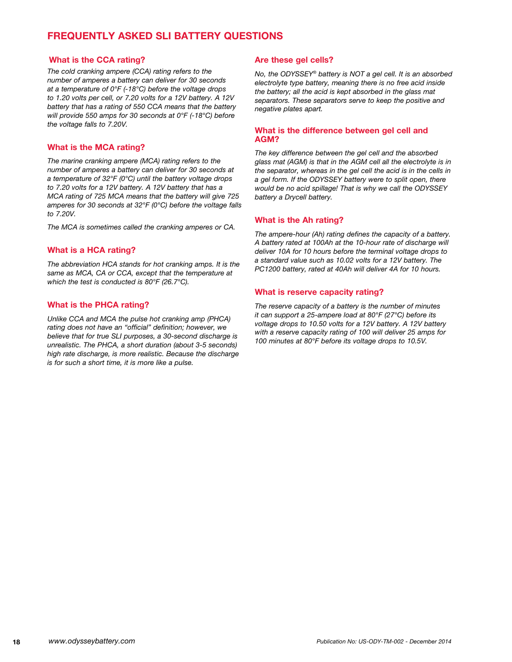# **Frequently asked SLI battery questions**

# **What is the CCA rating?**

*The cold cranking ampere (CCA) rating refers to the number of amperes a battery can deliver for 30 seconds at a temperature of 0°F (-18°C) before the voltage drops to 1.20 volts per cell, or 7.20 volts for a 12V battery. A 12V battery that has a rating of 550 CCA means that the battery will provide 550 amps for 30 seconds at 0°F (-18°C) before the voltage falls to 7.20V.*

# **What is the MCA rating?**

*The marine cranking ampere (MCA) rating refers to the number of amperes a battery can deliver for 30 seconds at a temperature of 32°F (0°C) until the battery voltage drops to 7.20 volts for a 12V battery. A 12V battery that has a MCA rating of 725 MCA means that the battery will give 725 amperes for 30 seconds at 32°F (0°C) before the voltage falls to 7.20V.*

*The MCA is sometimes called the cranking amperes or CA.*

# **What is a HCA rating?**

*The abbreviation HCA stands for hot cranking amps. It is the same as MCA, CA or CCA, except that the temperature at which the test is conducted is 80°F (26.7°C).*

# **What is the PHCA rating?**

*Unlike CCA and MCA the pulse hot cranking amp (PHCA) rating does not have an "official" definition; however, we believe that for true SLI purposes, a 30-second discharge is unrealistic. The PHCA, a short duration (about 3-5 seconds) high rate discharge, is more realistic. Because the discharge is for such a short time, it is more like a pulse.*

# **Are these gel cells?**

*No, the ODYSSEY*® *battery is NOT a gel cell. It is an absorbed electrolyte type battery, meaning there is no free acid inside the battery; all the acid is kept absorbed in the glass mat separators. These separators serve to keep the positive and negative plates apart.*

# **What is the difference between gel cell and AGM?**

*The key difference between the gel cell and the absorbed glass mat (AGM) is that in the AGM cell all the electrolyte is in the separator, whereas in the gel cell the acid is in the cells in a gel form. If the ODYSSEY battery were to split open, there would be no acid spillage! That is why we call the ODYSSEY battery a Drycell battery.*

# **What is the Ah rating?**

*The ampere-hour (Ah) rating defines the capacity of a battery. A battery rated at 100Ah at the 10-hour rate of discharge will deliver 10A for 10 hours before the terminal voltage drops to a standard value such as 10.02 volts for a 12V battery. The PC1200 battery, rated at 40Ah will deliver 4A for 10 hours.*

# **What is reserve capacity rating?**

*The reserve capacity of a battery is the number of minutes it can support a 25-ampere load at 80°F (27°C) before its voltage drops to 10.50 volts for a 12V battery. A 12V battery with a reserve capacity rating of 100 will deliver 25 amps for 100 minutes at 80°F before its voltage drops to 10.5V.*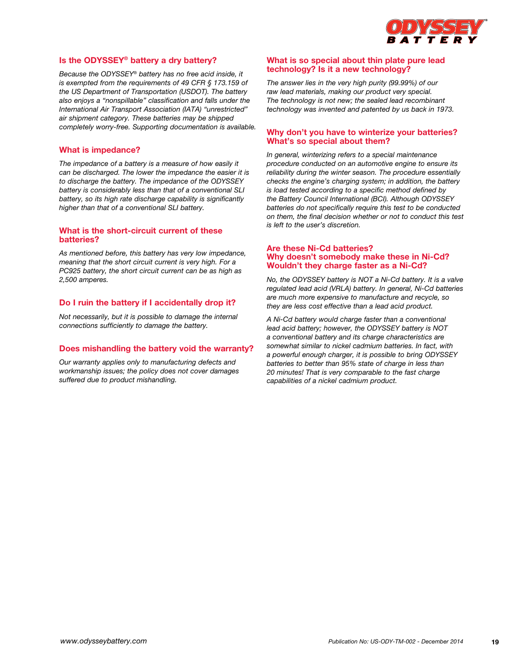

# **Is the ODYSSEY® battery a dry battery?**

*Because the ODYSSEY*® *battery has no free acid inside, it is exempted from the requirements of 49 CFR § 173.159 of the US Department of Transportation (USDOT). The battery also enjoys a "nonspillable" classification and falls under the International Air Transport Association (IATA) "unrestricted" air shipment category. These batteries may be shipped completely worry-free. Supporting documentation is available.*

## **What is impedance?**

*The impedance of a battery is a measure of how easily it can be discharged. The lower the impedance the easier it is to discharge the battery. The impedance of the ODYSSEY battery is considerably less than that of a conventional SLI battery, so its high rate discharge capability is significantly higher than that of a conventional SLI battery.*

## **What is the short-circuit current of these batteries?**

*As mentioned before, this battery has very low impedance, meaning that the short circuit current is very high. For a PC925 battery, the short circuit current can be as high as 2,500 amperes.*

## **Do I ruin the battery if I accidentally drop it?**

*Not necessarily, but it is possible to damage the internal connections sufficiently to damage the battery.*

## **Does mishandling the battery void the warranty?**

*Our warranty applies only to manufacturing defects and workmanship issues; the policy does not cover damages suffered due to product mishandling.*

# **What is so special about thin plate pure lead technology? Is it a new technology?**

*The answer lies in the very high purity (99.99%) of our raw lead materials, making our product very special. The technology is not new; the sealed lead recombinant technology was invented and patented by us back in 1973.*

## **Why don't you have to winterize your batteries? What's so special about them?**

*In general, winterizing refers to a special maintenance procedure conducted on an automotive engine to ensure its reliability during the winter season. The procedure essentially checks the engine's charging system; in addition, the battery is load tested according to a specific method defined by the Battery Council International (BCI). Although ODYSSEY batteries do not specifically require this test to be conducted on them, the final decision whether or not to conduct this test is left to the user's discretion.*

## **Are these Ni-Cd batteries? Why doesn't somebody make these in Ni-Cd? Wouldn't they charge faster as a Ni-Cd?**

*No, the ODYSSEY battery is NOT a Ni-Cd battery. It is a valve regulated lead acid (VRLA) battery. In general, Ni-Cd batteries are much more expensive to manufacture and recycle, so they are less cost effective than a lead acid product.*

*A Ni-Cd battery would charge faster than a conventional lead acid battery; however, the ODYSSEY battery is NOT a conventional battery and its charge characteristics are somewhat similar to nickel cadmium batteries. In fact, with a powerful enough charger, it is possible to bring ODYSSEY batteries to better than 95% state of charge in less than 20 minutes! That is very comparable to the fast charge capabilities of a nickel cadmium product.*